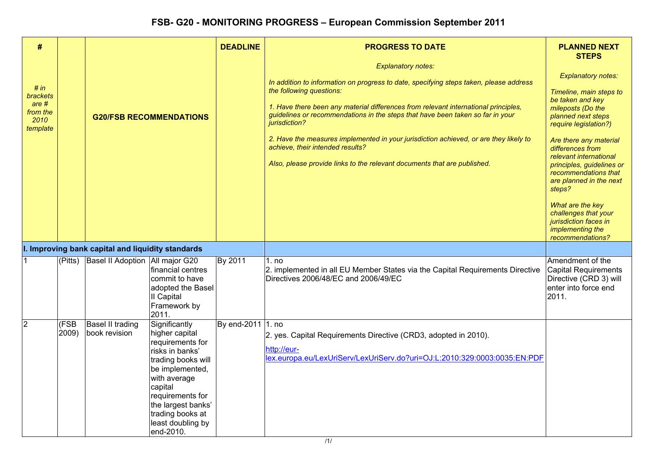| #                                                             |               |                                                   |                                                                                                                                                                                                                                            | <b>DEADLINE</b>   | <b>PROGRESS TO DATE</b>                                                                                                                                                                                                                                                                                                                                                                                                                                                                                                                            | <b>PLANNED NEXT</b><br><b>STEPS</b>                                                                                                                                                                                                                                                                                                                                                                                         |
|---------------------------------------------------------------|---------------|---------------------------------------------------|--------------------------------------------------------------------------------------------------------------------------------------------------------------------------------------------------------------------------------------------|-------------------|----------------------------------------------------------------------------------------------------------------------------------------------------------------------------------------------------------------------------------------------------------------------------------------------------------------------------------------------------------------------------------------------------------------------------------------------------------------------------------------------------------------------------------------------------|-----------------------------------------------------------------------------------------------------------------------------------------------------------------------------------------------------------------------------------------------------------------------------------------------------------------------------------------------------------------------------------------------------------------------------|
| # $in$<br>brackets<br>$are #$<br>from the<br>2010<br>template |               | <b>G20/FSB RECOMMENDATIONS</b>                    |                                                                                                                                                                                                                                            |                   | <b>Explanatory notes:</b><br>In addition to information on progress to date, specifying steps taken, please address<br>the following questions:<br>1. Have there been any material differences from relevant international principles,<br>guidelines or recommendations in the steps that have been taken so far in your<br>jurisdiction?<br>2. Have the measures implemented in your jurisdiction achieved, or are they likely to<br>achieve, their intended results?<br>Also, please provide links to the relevant documents that are published. | <b>Explanatory notes:</b><br>Timeline, main steps to<br>be taken and key<br>mileposts (Do the<br>planned next steps<br>require legislation?)<br>Are there any material<br>differences from<br>relevant international<br>principles, guidelines or<br>recommendations that<br>are planned in the next<br>steps?<br>What are the key<br>challenges that your<br>jurisdiction faces in<br>implementing the<br>recommendations? |
|                                                               |               | I. Improving bank capital and liquidity standards |                                                                                                                                                                                                                                            |                   |                                                                                                                                                                                                                                                                                                                                                                                                                                                                                                                                                    |                                                                                                                                                                                                                                                                                                                                                                                                                             |
|                                                               |               | (Pitts) Basel II Adoption   All major G20         | financial centres<br>commit to have<br>adopted the Basel<br>II Capital<br>Framework by<br>2011.                                                                                                                                            | By 2011           | 1. no<br>2. implemented in all EU Member States via the Capital Requirements Directive<br>Directives 2006/48/EC and 2006/49/EC                                                                                                                                                                                                                                                                                                                                                                                                                     | Amendment of the<br><b>Capital Requirements</b><br>Directive (CRD 3) will<br>enter into force end<br>2011.                                                                                                                                                                                                                                                                                                                  |
| $\overline{2}$                                                | (FSB<br>2009) | Basel II trading<br>book revision                 | Significantly<br>higher capital<br>requirements for<br>risks in banks'<br>trading books will<br>be implemented,<br>with average<br>capital<br>requirements for<br>the largest banks'<br>trading books at<br>least doubling by<br>end-2010. | By end-2011 1. no | 2. yes. Capital Requirements Directive (CRD3, adopted in 2010).<br>http://eur-<br>lex.europa.eu/LexUriServ/LexUriServ.do?uri=OJ:L:2010:329:0003:0035:EN:PDF                                                                                                                                                                                                                                                                                                                                                                                        |                                                                                                                                                                                                                                                                                                                                                                                                                             |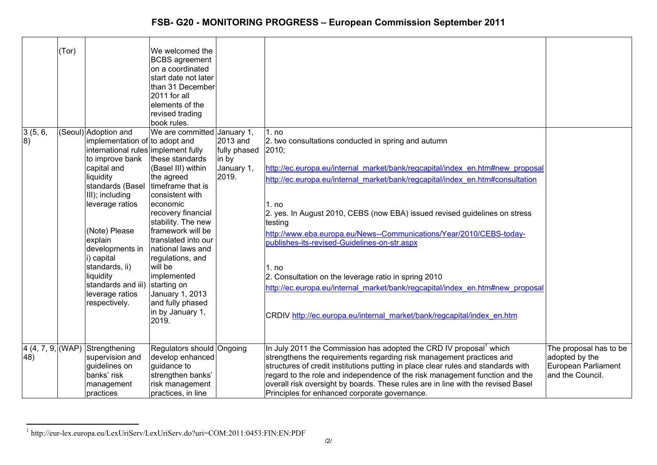| 3(5, 6,<br>8)             | (Tor) | (Seoul) Adoption and<br>implementation of to adopt and<br>international rules implement fully<br>to improve bank<br>capital and<br>liquidity<br>standards (Basel<br>III); including<br>leverage ratios<br>(Note) Please<br>explain<br>developments in<br>i) capital<br>standards, ii)<br>liquidity<br>standards and iii)<br>leverage ratios<br>respectively. | We welcomed the<br><b>BCBS</b> agreement<br>on a coordinated<br>start date not later<br>than 31 December<br>2011 for all<br>elements of the<br>revised trading<br>book rules.<br>We are committed January 1,<br>these standards<br>(Basel III) within<br>the agreed<br>timeframe that is<br>consistent with<br>economic<br>recovery financial<br>stability. The new<br>framework will be<br>translated into our<br>national laws and<br>regulations, and<br>will be<br>implemented<br>starting on<br>January 1, 2013<br>and fully phased<br>in by January 1, | 2013 and<br>fully phased<br>in by<br>January 1,<br>2019. | 1. no<br>2. two consultations conducted in spring and autumn<br>2010;<br>http://ec.europa.eu/internal market/bank/regcapital/index en.htm#new proposal<br>http://ec.europa.eu/internal market/bank/regcapital/index en.htm#consultation<br>1. no<br>2. yes. In August 2010, CEBS (now EBA) issued revised guidelines on stress<br>testing<br>http://www.eba.europa.eu/News--Communications/Year/2010/CEBS-today-<br>publishes-its-revised-Guidelines-on-str.aspx<br>1. no<br>2. Consultation on the leverage ratio in spring 2010<br>http://ec.europa.eu/internal market/bank/regcapital/index en.htm#new proposal<br>CRDIV http://ec.europa.eu/internal market/bank/regcapital/index en.htm |                                                                                     |
|---------------------------|-------|--------------------------------------------------------------------------------------------------------------------------------------------------------------------------------------------------------------------------------------------------------------------------------------------------------------------------------------------------------------|--------------------------------------------------------------------------------------------------------------------------------------------------------------------------------------------------------------------------------------------------------------------------------------------------------------------------------------------------------------------------------------------------------------------------------------------------------------------------------------------------------------------------------------------------------------|----------------------------------------------------------|----------------------------------------------------------------------------------------------------------------------------------------------------------------------------------------------------------------------------------------------------------------------------------------------------------------------------------------------------------------------------------------------------------------------------------------------------------------------------------------------------------------------------------------------------------------------------------------------------------------------------------------------------------------------------------------------|-------------------------------------------------------------------------------------|
| $4(4, 7, 9,$ (WAP)<br>48) |       | Strengthening<br>supervision and<br>guidelines on<br>banks' risk<br>management                                                                                                                                                                                                                                                                               | 2019.<br>Regulators should Ongoing<br>develop enhanced<br>guidance to<br>strengthen banks'<br>risk management                                                                                                                                                                                                                                                                                                                                                                                                                                                |                                                          | In July 2011 the Commission has adopted the CRD IV proposal <sup>1</sup> which<br>strengthens the requirements regarding risk management practices and<br>structures of credit institutions putting in place clear rules and standards with<br>regard to the role and independence of the risk management function and the<br>overall risk oversight by boards. These rules are in line with the revised Basel                                                                                                                                                                                                                                                                               | The proposal has to be<br>adopted by the<br>European Parliament<br>and the Council. |
|                           |       | practices                                                                                                                                                                                                                                                                                                                                                    | practices, in line                                                                                                                                                                                                                                                                                                                                                                                                                                                                                                                                           |                                                          | Principles for enhanced corporate governance.                                                                                                                                                                                                                                                                                                                                                                                                                                                                                                                                                                                                                                                |                                                                                     |

<sup>1</sup> http://eur-lex.europa.eu/LexUriServ/LexUriServ.do?uri=COM:2011:0453:FIN:EN:PDF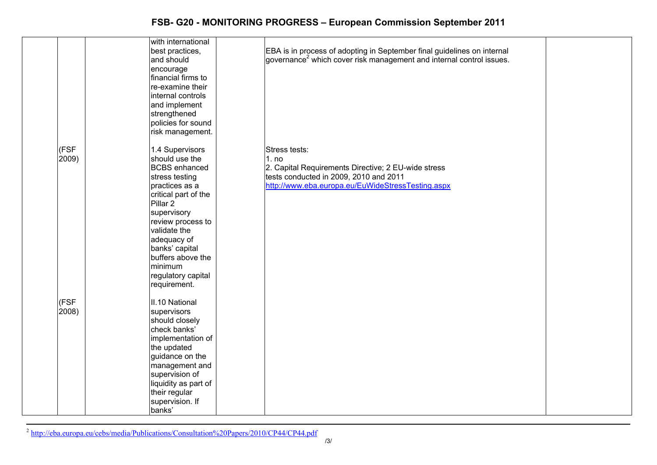|        | with international   |                                                                                  |
|--------|----------------------|----------------------------------------------------------------------------------|
|        | best practices,      | EBA is in process of adopting in September final guidelines on internal          |
|        | and should           | governance <sup>2</sup> which cover risk management and internal control issues. |
|        | encourage            |                                                                                  |
|        | financial firms to   |                                                                                  |
|        | re-examine their     |                                                                                  |
|        | internal controls    |                                                                                  |
|        |                      |                                                                                  |
|        | and implement        |                                                                                  |
|        | strengthened         |                                                                                  |
|        | policies for sound   |                                                                                  |
|        | risk management.     |                                                                                  |
| (FSF   | 1.4 Supervisors      | Stress tests:                                                                    |
| 2009)  | should use the       | 1. no                                                                            |
|        | <b>BCBS</b> enhanced | 2. Capital Requirements Directive; 2 EU-wide stress                              |
|        | stress testing       | tests conducted in 2009, 2010 and 2011                                           |
|        | practices as a       | http://www.eba.europa.eu/EuWideStressTesting.aspx                                |
|        | critical part of the |                                                                                  |
|        | Pillar 2             |                                                                                  |
|        | supervisory          |                                                                                  |
|        | review process to    |                                                                                  |
|        | validate the         |                                                                                  |
|        |                      |                                                                                  |
|        | adequacy of          |                                                                                  |
|        | banks' capital       |                                                                                  |
|        | buffers above the    |                                                                                  |
|        | minimum              |                                                                                  |
|        | regulatory capital   |                                                                                  |
|        | requirement.         |                                                                                  |
| (FSF   | II.10 National       |                                                                                  |
| (2008) | supervisors          |                                                                                  |
|        | should closely       |                                                                                  |
|        | check banks'         |                                                                                  |
|        | implementation of    |                                                                                  |
|        | the updated          |                                                                                  |
|        | guidance on the      |                                                                                  |
|        |                      |                                                                                  |
|        | management and       |                                                                                  |
|        | supervision of       |                                                                                  |
|        | liquidity as part of |                                                                                  |
|        | their regular        |                                                                                  |
|        | supervision. If      |                                                                                  |
|        | banks'               |                                                                                  |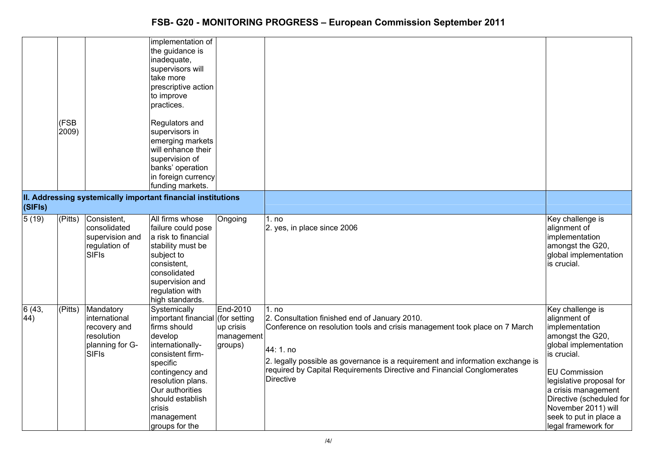|              | (FSB<br>2009)          |                                                                                             | implementation of<br>the guidance is<br>inadequate,<br>supervisors will<br>take more<br>prescriptive action<br>to improve<br>practices.<br>Regulators and<br>supervisors in<br>emerging markets<br>will enhance their<br>supervision of<br>banks' operation<br>in foreign currency<br>funding markets.<br>II. Addressing systemically important financial institutions |                                                                |                                                                                                                                                                                                                                                                                                                                   |                                                                                                                                                                                                                                                                                               |
|--------------|------------------------|---------------------------------------------------------------------------------------------|------------------------------------------------------------------------------------------------------------------------------------------------------------------------------------------------------------------------------------------------------------------------------------------------------------------------------------------------------------------------|----------------------------------------------------------------|-----------------------------------------------------------------------------------------------------------------------------------------------------------------------------------------------------------------------------------------------------------------------------------------------------------------------------------|-----------------------------------------------------------------------------------------------------------------------------------------------------------------------------------------------------------------------------------------------------------------------------------------------|
| (SIFIs)      |                        |                                                                                             |                                                                                                                                                                                                                                                                                                                                                                        |                                                                |                                                                                                                                                                                                                                                                                                                                   |                                                                                                                                                                                                                                                                                               |
| 5(19)        | $\overline{P}$ (Pitts) | Consistent,<br>consolidated<br>supervision and<br>regulation of<br><b>SIFIs</b>             | All firms whose<br>failure could pose<br>a risk to financial<br>stability must be<br>subject to<br>consistent,<br>consolidated<br>supervision and<br>regulation with<br>high standards.                                                                                                                                                                                | Ongoing                                                        | 1. no<br>2. yes, in place since 2006                                                                                                                                                                                                                                                                                              | Key challenge is<br>alignment of<br>implementation<br>amongst the G20,<br>global implementation<br>is crucial.                                                                                                                                                                                |
| 6(43,<br>44) | (Pitts)                | Mandatory<br>international<br>recovery and<br>resolution<br>planning for G-<br><b>SIFIs</b> | Systemically<br>important financial<br>firms should<br>develop<br>internationally-<br>consistent firm-<br>specific<br>contingency and<br>resolution plans.<br>Our authorities<br>should establish<br>crisis<br>management<br>groups for the                                                                                                                            | End-2010<br>(for setting<br>up crisis<br>management<br>groups) | 1. no<br>2. Consultation finished end of January 2010.<br>Conference on resolution tools and crisis management took place on 7 March<br>44: 1. no<br>2. legally possible as governance is a requirement and information exchange is<br>required by Capital Requirements Directive and Financial Conglomerates<br><b>Directive</b> | Key challenge is<br>alignment of<br>implementation<br>amongst the G20,<br>global implementation<br>is crucial.<br><b>EU Commission</b><br>legislative proposal for<br>a crisis management<br>Directive (scheduled for<br>November 2011) will<br>seek to put in place a<br>legal framework for |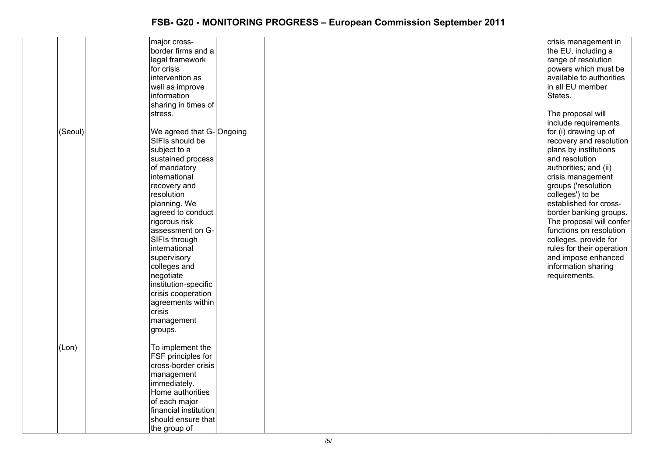|         | major cross-             | crisis management in      |
|---------|--------------------------|---------------------------|
|         | border firms and a       | the EU, including a       |
|         | legal framework          | range of resolution       |
|         | for crisis               | powers which must be      |
|         | intervention as          | available to authorities  |
|         |                          |                           |
|         | well as improve          | in all EU member          |
|         | information              | States.                   |
|         | sharing in times of      |                           |
|         | stress.                  | The proposal will         |
|         |                          | include requirements      |
| (Seoul) | We agreed that G-Ongoing | for (i) drawing up of     |
|         | SIFIs should be          | recovery and resolution   |
|         | subject to a             | plans by institutions     |
|         | sustained process        | and resolution            |
|         |                          |                           |
|         | of mandatory             | authorities; and (ii)     |
|         | international            | crisis management         |
|         | recovery and             | groups ('resolution       |
|         | resolution               | colleges') to be          |
|         | planning. We             | established for cross-    |
|         | agreed to conduct        | border banking groups.    |
|         | rigorous risk            | The proposal will confer  |
|         | assessment on G-         | functions on resolution   |
|         | SIFIs through            | colleges, provide for     |
|         | international            | rules for their operation |
|         | supervisory              | and impose enhanced       |
|         | colleges and             | information sharing       |
|         |                          |                           |
|         | negotiate                | requirements.             |
|         | institution-specific     |                           |
|         | crisis cooperation       |                           |
|         | agreements within        |                           |
|         | crisis                   |                           |
|         | management               |                           |
|         | groups.                  |                           |
|         |                          |                           |
| (Lon)   | To implement the         |                           |
|         | FSF principles for       |                           |
|         | cross-border crisis      |                           |
|         |                          |                           |
|         | management               |                           |
|         | immediately.             |                           |
|         | Home authorities         |                           |
|         | of each major            |                           |
|         | financial institution    |                           |
|         | should ensure that       |                           |
|         | the group of             |                           |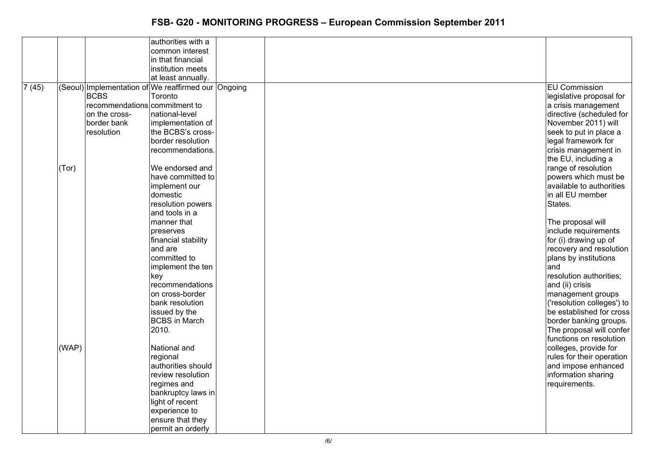| authorities with a<br>common interest<br>in that financial<br>institution meets<br>at least annually.<br><b>EU Commission</b><br>(Seoul) Implementation of We reaffirmed our Ongoing<br><b>BCBS</b><br>Toronto<br>legislative proposal for<br>recommendations commitment to<br>a crisis management<br>national-level<br>directive (scheduled for<br>on the cross-<br>November 2011) will<br>border bank<br>implementation of<br>resolution<br>the BCBS's cross-<br>seek to put in place a<br>border resolution<br>legal framework for<br>crisis management in<br>recommendations.<br>the EU, including a<br>We endorsed and<br>range of resolution<br>(Tor)<br>powers which must be<br>have committed to<br>available to authorities<br>implement our<br>domestic<br>in all EU member<br>resolution powers<br>States.<br>and tools in a<br>manner that<br>The proposal will<br>include requirements<br>preserves<br>for (i) drawing up of<br>financial stability<br>and are<br>recovery and resolution<br>committed to<br>plans by institutions<br>implement the ten<br>and<br>resolution authorities;<br>key<br>recommendations<br>and (ii) crisis<br>management groups<br>on cross-border<br>('resolution colleges') to<br>bank resolution |       |               |  |                          |
|----------------------------------------------------------------------------------------------------------------------------------------------------------------------------------------------------------------------------------------------------------------------------------------------------------------------------------------------------------------------------------------------------------------------------------------------------------------------------------------------------------------------------------------------------------------------------------------------------------------------------------------------------------------------------------------------------------------------------------------------------------------------------------------------------------------------------------------------------------------------------------------------------------------------------------------------------------------------------------------------------------------------------------------------------------------------------------------------------------------------------------------------------------------------------------------------------------------------------------------------|-------|---------------|--|--------------------------|
|                                                                                                                                                                                                                                                                                                                                                                                                                                                                                                                                                                                                                                                                                                                                                                                                                                                                                                                                                                                                                                                                                                                                                                                                                                              |       |               |  |                          |
|                                                                                                                                                                                                                                                                                                                                                                                                                                                                                                                                                                                                                                                                                                                                                                                                                                                                                                                                                                                                                                                                                                                                                                                                                                              |       |               |  |                          |
|                                                                                                                                                                                                                                                                                                                                                                                                                                                                                                                                                                                                                                                                                                                                                                                                                                                                                                                                                                                                                                                                                                                                                                                                                                              |       |               |  |                          |
|                                                                                                                                                                                                                                                                                                                                                                                                                                                                                                                                                                                                                                                                                                                                                                                                                                                                                                                                                                                                                                                                                                                                                                                                                                              |       |               |  |                          |
|                                                                                                                                                                                                                                                                                                                                                                                                                                                                                                                                                                                                                                                                                                                                                                                                                                                                                                                                                                                                                                                                                                                                                                                                                                              |       |               |  |                          |
|                                                                                                                                                                                                                                                                                                                                                                                                                                                                                                                                                                                                                                                                                                                                                                                                                                                                                                                                                                                                                                                                                                                                                                                                                                              | 7(45) |               |  |                          |
|                                                                                                                                                                                                                                                                                                                                                                                                                                                                                                                                                                                                                                                                                                                                                                                                                                                                                                                                                                                                                                                                                                                                                                                                                                              |       |               |  |                          |
|                                                                                                                                                                                                                                                                                                                                                                                                                                                                                                                                                                                                                                                                                                                                                                                                                                                                                                                                                                                                                                                                                                                                                                                                                                              |       |               |  |                          |
|                                                                                                                                                                                                                                                                                                                                                                                                                                                                                                                                                                                                                                                                                                                                                                                                                                                                                                                                                                                                                                                                                                                                                                                                                                              |       |               |  |                          |
|                                                                                                                                                                                                                                                                                                                                                                                                                                                                                                                                                                                                                                                                                                                                                                                                                                                                                                                                                                                                                                                                                                                                                                                                                                              |       |               |  |                          |
|                                                                                                                                                                                                                                                                                                                                                                                                                                                                                                                                                                                                                                                                                                                                                                                                                                                                                                                                                                                                                                                                                                                                                                                                                                              |       |               |  |                          |
|                                                                                                                                                                                                                                                                                                                                                                                                                                                                                                                                                                                                                                                                                                                                                                                                                                                                                                                                                                                                                                                                                                                                                                                                                                              |       |               |  |                          |
|                                                                                                                                                                                                                                                                                                                                                                                                                                                                                                                                                                                                                                                                                                                                                                                                                                                                                                                                                                                                                                                                                                                                                                                                                                              |       |               |  |                          |
|                                                                                                                                                                                                                                                                                                                                                                                                                                                                                                                                                                                                                                                                                                                                                                                                                                                                                                                                                                                                                                                                                                                                                                                                                                              |       |               |  |                          |
|                                                                                                                                                                                                                                                                                                                                                                                                                                                                                                                                                                                                                                                                                                                                                                                                                                                                                                                                                                                                                                                                                                                                                                                                                                              |       |               |  |                          |
|                                                                                                                                                                                                                                                                                                                                                                                                                                                                                                                                                                                                                                                                                                                                                                                                                                                                                                                                                                                                                                                                                                                                                                                                                                              |       |               |  |                          |
|                                                                                                                                                                                                                                                                                                                                                                                                                                                                                                                                                                                                                                                                                                                                                                                                                                                                                                                                                                                                                                                                                                                                                                                                                                              |       |               |  |                          |
|                                                                                                                                                                                                                                                                                                                                                                                                                                                                                                                                                                                                                                                                                                                                                                                                                                                                                                                                                                                                                                                                                                                                                                                                                                              |       |               |  |                          |
|                                                                                                                                                                                                                                                                                                                                                                                                                                                                                                                                                                                                                                                                                                                                                                                                                                                                                                                                                                                                                                                                                                                                                                                                                                              |       |               |  |                          |
|                                                                                                                                                                                                                                                                                                                                                                                                                                                                                                                                                                                                                                                                                                                                                                                                                                                                                                                                                                                                                                                                                                                                                                                                                                              |       |               |  |                          |
|                                                                                                                                                                                                                                                                                                                                                                                                                                                                                                                                                                                                                                                                                                                                                                                                                                                                                                                                                                                                                                                                                                                                                                                                                                              |       |               |  |                          |
|                                                                                                                                                                                                                                                                                                                                                                                                                                                                                                                                                                                                                                                                                                                                                                                                                                                                                                                                                                                                                                                                                                                                                                                                                                              |       |               |  |                          |
|                                                                                                                                                                                                                                                                                                                                                                                                                                                                                                                                                                                                                                                                                                                                                                                                                                                                                                                                                                                                                                                                                                                                                                                                                                              |       |               |  |                          |
|                                                                                                                                                                                                                                                                                                                                                                                                                                                                                                                                                                                                                                                                                                                                                                                                                                                                                                                                                                                                                                                                                                                                                                                                                                              |       |               |  |                          |
|                                                                                                                                                                                                                                                                                                                                                                                                                                                                                                                                                                                                                                                                                                                                                                                                                                                                                                                                                                                                                                                                                                                                                                                                                                              |       |               |  |                          |
|                                                                                                                                                                                                                                                                                                                                                                                                                                                                                                                                                                                                                                                                                                                                                                                                                                                                                                                                                                                                                                                                                                                                                                                                                                              |       |               |  |                          |
|                                                                                                                                                                                                                                                                                                                                                                                                                                                                                                                                                                                                                                                                                                                                                                                                                                                                                                                                                                                                                                                                                                                                                                                                                                              |       |               |  |                          |
|                                                                                                                                                                                                                                                                                                                                                                                                                                                                                                                                                                                                                                                                                                                                                                                                                                                                                                                                                                                                                                                                                                                                                                                                                                              |       |               |  |                          |
|                                                                                                                                                                                                                                                                                                                                                                                                                                                                                                                                                                                                                                                                                                                                                                                                                                                                                                                                                                                                                                                                                                                                                                                                                                              |       |               |  |                          |
|                                                                                                                                                                                                                                                                                                                                                                                                                                                                                                                                                                                                                                                                                                                                                                                                                                                                                                                                                                                                                                                                                                                                                                                                                                              |       |               |  |                          |
|                                                                                                                                                                                                                                                                                                                                                                                                                                                                                                                                                                                                                                                                                                                                                                                                                                                                                                                                                                                                                                                                                                                                                                                                                                              |       |               |  |                          |
|                                                                                                                                                                                                                                                                                                                                                                                                                                                                                                                                                                                                                                                                                                                                                                                                                                                                                                                                                                                                                                                                                                                                                                                                                                              |       | issued by the |  | be established for cross |
| <b>BCBS</b> in March<br>border banking groups.                                                                                                                                                                                                                                                                                                                                                                                                                                                                                                                                                                                                                                                                                                                                                                                                                                                                                                                                                                                                                                                                                                                                                                                               |       |               |  |                          |
| 2010.<br>The proposal will confer                                                                                                                                                                                                                                                                                                                                                                                                                                                                                                                                                                                                                                                                                                                                                                                                                                                                                                                                                                                                                                                                                                                                                                                                            |       |               |  |                          |
| functions on resolution                                                                                                                                                                                                                                                                                                                                                                                                                                                                                                                                                                                                                                                                                                                                                                                                                                                                                                                                                                                                                                                                                                                                                                                                                      |       |               |  |                          |
| (WAP)<br>National and<br>colleges, provide for                                                                                                                                                                                                                                                                                                                                                                                                                                                                                                                                                                                                                                                                                                                                                                                                                                                                                                                                                                                                                                                                                                                                                                                               |       |               |  |                          |
| rules for their operation<br>regional                                                                                                                                                                                                                                                                                                                                                                                                                                                                                                                                                                                                                                                                                                                                                                                                                                                                                                                                                                                                                                                                                                                                                                                                        |       |               |  |                          |
| authorities should<br>and impose enhanced                                                                                                                                                                                                                                                                                                                                                                                                                                                                                                                                                                                                                                                                                                                                                                                                                                                                                                                                                                                                                                                                                                                                                                                                    |       |               |  |                          |
| information sharing<br>review resolution                                                                                                                                                                                                                                                                                                                                                                                                                                                                                                                                                                                                                                                                                                                                                                                                                                                                                                                                                                                                                                                                                                                                                                                                     |       |               |  |                          |
| requirements.<br>regimes and                                                                                                                                                                                                                                                                                                                                                                                                                                                                                                                                                                                                                                                                                                                                                                                                                                                                                                                                                                                                                                                                                                                                                                                                                 |       |               |  |                          |
| bankruptcy laws in                                                                                                                                                                                                                                                                                                                                                                                                                                                                                                                                                                                                                                                                                                                                                                                                                                                                                                                                                                                                                                                                                                                                                                                                                           |       |               |  |                          |
| light of recent                                                                                                                                                                                                                                                                                                                                                                                                                                                                                                                                                                                                                                                                                                                                                                                                                                                                                                                                                                                                                                                                                                                                                                                                                              |       |               |  |                          |
| experience to                                                                                                                                                                                                                                                                                                                                                                                                                                                                                                                                                                                                                                                                                                                                                                                                                                                                                                                                                                                                                                                                                                                                                                                                                                |       |               |  |                          |
| ensure that they                                                                                                                                                                                                                                                                                                                                                                                                                                                                                                                                                                                                                                                                                                                                                                                                                                                                                                                                                                                                                                                                                                                                                                                                                             |       |               |  |                          |
| permit an orderly                                                                                                                                                                                                                                                                                                                                                                                                                                                                                                                                                                                                                                                                                                                                                                                                                                                                                                                                                                                                                                                                                                                                                                                                                            |       |               |  |                          |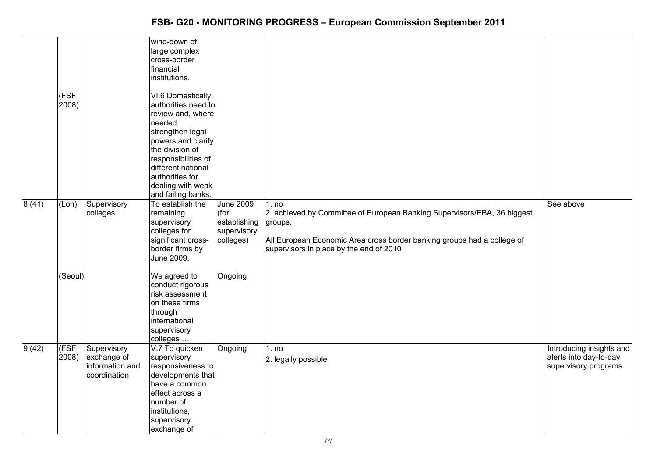|       |               |                                                               | wind-down of<br>large complex<br>cross-border<br>financial<br>institutions.                                                                                                                                                                       |                                                               |                                                                                                                                                                                                                    |                                                                             |
|-------|---------------|---------------------------------------------------------------|---------------------------------------------------------------------------------------------------------------------------------------------------------------------------------------------------------------------------------------------------|---------------------------------------------------------------|--------------------------------------------------------------------------------------------------------------------------------------------------------------------------------------------------------------------|-----------------------------------------------------------------------------|
|       | (FSF<br>2008) |                                                               | VI.6 Domestically,<br>authorities need to<br>review and, where<br>needed,<br>strengthen legal<br>powers and clarify<br>the division of<br>responsibilities of<br>different national<br>authorities for<br>dealing with weak<br>and failing banks. |                                                               |                                                                                                                                                                                                                    |                                                                             |
| 8(41) | (Lon)         | Supervisory<br>colleges                                       | To establish the<br>remaining<br>supervisory<br>colleges for<br>significant cross-<br>border firms by<br>June 2009.                                                                                                                               | June 2009<br>(for<br>establishing<br>supervisory<br>colleges) | 1. no<br>2. achieved by Committee of European Banking Supervisors/EBA, 36 biggest<br>groups.<br>All European Economic Area cross border banking groups had a college of<br>supervisors in place by the end of 2010 | See above                                                                   |
|       | (Seoul)       |                                                               | We agreed to<br>conduct rigorous<br>risk assessment<br>on these firms<br>through<br>international<br>supervisory<br>colleges                                                                                                                      | Ongoing                                                       |                                                                                                                                                                                                                    |                                                                             |
| 9(42) | (FSF<br>2008) | Supervisory<br>exchange of<br>information and<br>coordination | V.7 To quicken<br>supervisory<br>responsiveness to<br>developments that<br>have a common<br>effect across a<br>number of<br>institutions,<br>supervisory<br>exchange of                                                                           | Ongoing                                                       | 1. no<br>2. legally possible                                                                                                                                                                                       | Introducing insights and<br>alerts into day-to-day<br>supervisory programs. |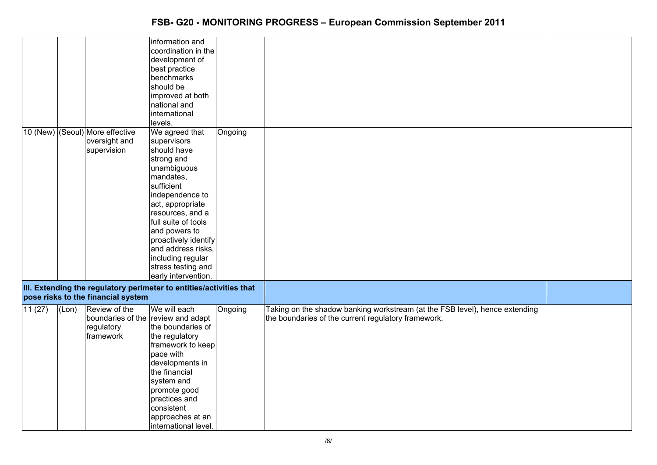|        |       |                                                                 | information and<br>coordination in the<br>development of<br>best practice<br>benchmarks<br>should be<br>improved at both<br>national and<br>international                                                                                                                                                               |         |                                                                                                                                    |  |
|--------|-------|-----------------------------------------------------------------|-------------------------------------------------------------------------------------------------------------------------------------------------------------------------------------------------------------------------------------------------------------------------------------------------------------------------|---------|------------------------------------------------------------------------------------------------------------------------------------|--|
|        |       |                                                                 | levels.                                                                                                                                                                                                                                                                                                                 |         |                                                                                                                                    |  |
|        |       | 10 (New) (Seoul) More effective<br>oversight and<br>supervision | We agreed that<br>supervisors<br>should have<br>strong and<br>unambiguous<br>mandates,<br>sufficient<br>independence to<br>act, appropriate<br>resources, and a<br>full suite of tools<br>and powers to<br>proactively identify<br>and address risks,<br>including regular<br>stress testing and<br>early intervention. | Ongoing |                                                                                                                                    |  |
|        |       | pose risks to the financial system                              | III. Extending the regulatory perimeter to entities/activities that                                                                                                                                                                                                                                                     |         |                                                                                                                                    |  |
| 11(27) | (Lon) | Review of the<br>regulatory<br>framework                        | We will each<br>boundaries of the review and adapt<br>the boundaries of<br>the regulatory<br>framework to keep<br>pace with<br>developments in<br>the financial<br>system and<br>promote good<br>practices and<br>consistent<br>approaches at an<br>international level.                                                | Ongoing | Taking on the shadow banking workstream (at the FSB level), hence extending<br>the boundaries of the current regulatory framework. |  |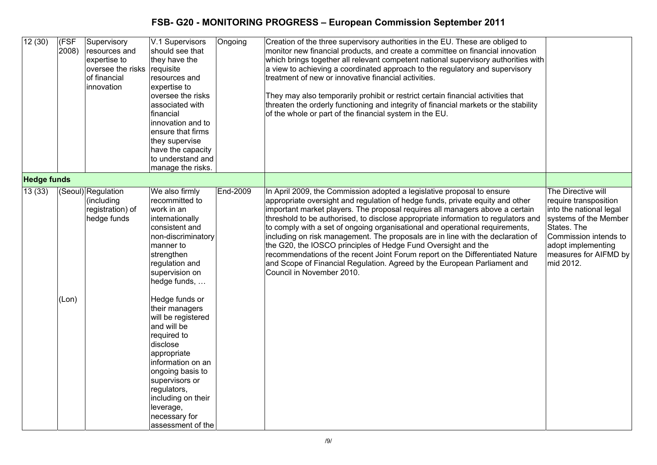| 12(30)             | (FSF<br>2008) | Supervisory<br>resources and<br>expertise to<br>oversee the risks<br>of financial<br>innovation | V.1 Supervisors<br>should see that<br>they have the<br>requisite<br>resources and<br>expertise to<br>oversee the risks<br>associated with<br>financial<br>innovation and to<br>ensure that firms<br>they supervise<br>have the capacity<br>to understand and<br>manage the risks. | Ongoing  | Creation of the three supervisory authorities in the EU. These are obliged to<br>monitor new financial products, and create a committee on financial innovation<br>which brings together all relevant competent national supervisory authorities with<br>a view to achieving a coordinated approach to the regulatory and supervisory<br>treatment of new or innovative financial activities.<br>They may also temporarily prohibit or restrict certain financial activities that<br>threaten the orderly functioning and integrity of financial markets or the stability<br>of the whole or part of the financial system in the EU.                                                                                                                       |                                                                                                                                                                                                     |
|--------------------|---------------|-------------------------------------------------------------------------------------------------|-----------------------------------------------------------------------------------------------------------------------------------------------------------------------------------------------------------------------------------------------------------------------------------|----------|------------------------------------------------------------------------------------------------------------------------------------------------------------------------------------------------------------------------------------------------------------------------------------------------------------------------------------------------------------------------------------------------------------------------------------------------------------------------------------------------------------------------------------------------------------------------------------------------------------------------------------------------------------------------------------------------------------------------------------------------------------|-----------------------------------------------------------------------------------------------------------------------------------------------------------------------------------------------------|
| <b>Hedge funds</b> |               |                                                                                                 |                                                                                                                                                                                                                                                                                   |          |                                                                                                                                                                                                                                                                                                                                                                                                                                                                                                                                                                                                                                                                                                                                                            |                                                                                                                                                                                                     |
| 13(33)             |               | (Seoul) Regulation<br>(including<br>registration) of<br>hedge funds                             | We also firmly<br>recommitted to<br>work in an<br>internationally<br>consistent and<br>non-discriminatory<br>manner to<br>strengthen<br>regulation and<br>supervision on<br>hedge funds,                                                                                          | End-2009 | In April 2009, the Commission adopted a legislative proposal to ensure<br>appropriate oversight and regulation of hedge funds, private equity and other<br>important market players. The proposal requires all managers above a certain<br>threshold to be authorised, to disclose appropriate information to regulators and<br>to comply with a set of ongoing organisational and operational requirements,<br>including on risk management. The proposals are in line with the declaration of<br>the G20, the IOSCO principles of Hedge Fund Oversight and the<br>recommendations of the recent Joint Forum report on the Differentiated Nature<br>and Scope of Financial Regulation. Agreed by the European Parliament and<br>Council in November 2010. | The Directive will<br>require transposition<br>into the national legal<br>systems of the Member<br>States. The<br>Commission intends to<br>adopt implementing<br>measures for AIFMD by<br>mid 2012. |
|                    | (Lon)         |                                                                                                 | Hedge funds or<br>their managers<br>will be registered<br>and will be<br>required to<br>disclose<br>appropriate<br>information on an<br>ongoing basis to<br>supervisors or<br>regulators,<br>including on their<br>leverage,<br>necessary for<br>assessment of the                |          |                                                                                                                                                                                                                                                                                                                                                                                                                                                                                                                                                                                                                                                                                                                                                            |                                                                                                                                                                                                     |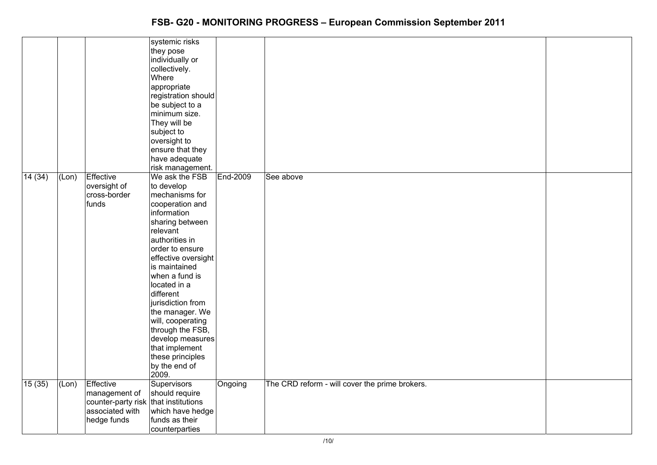|        |       |                                                                                                      | systemic risks<br>they pose<br>individually or<br>collectively.<br>Where<br>appropriate<br>registration should<br>be subject to a<br>minimum size.<br>They will be<br>subject to<br>oversight to<br>ensure that they<br>have adequate<br>risk management.                                                                                                                                                        |          |                                                |  |
|--------|-------|------------------------------------------------------------------------------------------------------|------------------------------------------------------------------------------------------------------------------------------------------------------------------------------------------------------------------------------------------------------------------------------------------------------------------------------------------------------------------------------------------------------------------|----------|------------------------------------------------|--|
| 14(34) | (Lon) | Effective<br>oversight of<br>cross-border<br>funds                                                   | We ask the FSB<br>to develop<br>mechanisms for<br>cooperation and<br>information<br>sharing between<br>relevant<br>authorities in<br>order to ensure<br>effective oversight<br>is maintained<br>when a fund is<br>located in a<br>different<br>jurisdiction from<br>the manager. We<br>will, cooperating<br>through the FSB,<br>develop measures<br>that implement<br>these principles<br>by the end of<br>2009. | End-2009 | See above                                      |  |
| 15(35) | (Lon) | Effective<br>management of<br>counter-party risk that institutions<br>associated with<br>hedge funds | <b>Supervisors</b><br>should require<br>which have hedge<br>funds as their<br>counterparties                                                                                                                                                                                                                                                                                                                     | Ongoing  | The CRD reform - will cover the prime brokers. |  |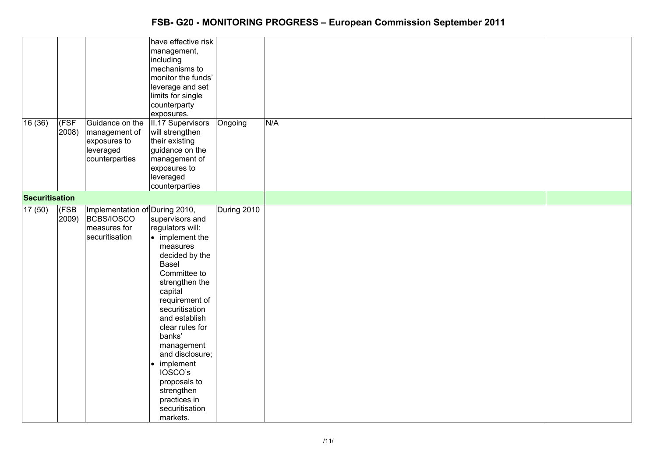|                 |       |                                | have effective risk     |             |     |  |
|-----------------|-------|--------------------------------|-------------------------|-------------|-----|--|
|                 |       |                                | management,             |             |     |  |
|                 |       |                                | including               |             |     |  |
|                 |       |                                |                         |             |     |  |
|                 |       |                                | mechanisms to           |             |     |  |
|                 |       |                                | monitor the funds'      |             |     |  |
|                 |       |                                | leverage and set        |             |     |  |
|                 |       |                                | limits for single       |             |     |  |
|                 |       |                                | counterparty            |             |     |  |
|                 |       |                                |                         |             |     |  |
|                 |       |                                | exposures.              |             |     |  |
| 16(36)          | (FSF  | Guidance on the                | II.17 Supervisors       | Ongoing     | N/A |  |
|                 | 2008) | management of                  | will strengthen         |             |     |  |
|                 |       | exposures to                   | their existing          |             |     |  |
|                 |       | leveraged                      | guidance on the         |             |     |  |
|                 |       |                                |                         |             |     |  |
|                 |       | counterparties                 | management of           |             |     |  |
|                 |       |                                | exposures to            |             |     |  |
|                 |       |                                | leveraged               |             |     |  |
|                 |       |                                | counterparties          |             |     |  |
|                 |       |                                |                         |             |     |  |
| Securitisation  |       |                                |                         |             |     |  |
| $\sqrt{17(50)}$ | (FSB  | Implementation of During 2010, |                         | During 2010 |     |  |
|                 | 2009) | BCBS/IOSCO                     | supervisors and         |             |     |  |
|                 |       | measures for                   | regulators will:        |             |     |  |
|                 |       |                                |                         |             |     |  |
|                 |       | securitisation                 | $\bullet$ implement the |             |     |  |
|                 |       |                                | measures                |             |     |  |
|                 |       |                                | decided by the          |             |     |  |
|                 |       |                                | Basel                   |             |     |  |
|                 |       |                                | Committee to            |             |     |  |
|                 |       |                                | strengthen the          |             |     |  |
|                 |       |                                |                         |             |     |  |
|                 |       |                                | capital                 |             |     |  |
|                 |       |                                | requirement of          |             |     |  |
|                 |       |                                | securitisation          |             |     |  |
|                 |       |                                | and establish           |             |     |  |
|                 |       |                                | clear rules for         |             |     |  |
|                 |       |                                | banks'                  |             |     |  |
|                 |       |                                |                         |             |     |  |
|                 |       |                                | management              |             |     |  |
|                 |       |                                | and disclosure;         |             |     |  |
|                 |       |                                | implement               |             |     |  |
|                 |       |                                | IOSCO's                 |             |     |  |
|                 |       |                                | proposals to            |             |     |  |
|                 |       |                                |                         |             |     |  |
|                 |       |                                | strengthen              |             |     |  |
|                 |       |                                | practices in            |             |     |  |
|                 |       |                                | securitisation          |             |     |  |
|                 |       |                                | markets.                |             |     |  |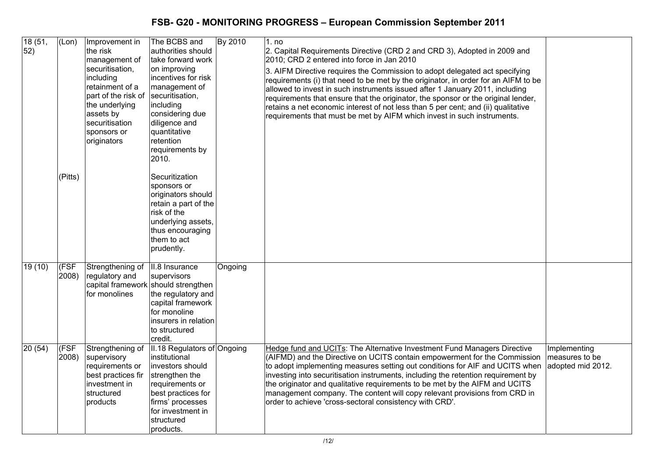| 18 (51,<br>52) | (Lon)         | Improvement in<br>the risk<br>management of<br>securitisation,<br>including<br>retainment of a<br>part of the risk of<br>the underlying<br>assets by<br>securitisation<br>sponsors or<br>originators | The BCBS and<br>authorities should<br>take forward work<br>on improving<br>incentives for risk<br>management of<br>securitisation,<br>including<br>considering due<br>diligence and<br>quantitative<br>retention<br>requirements by<br>2010. | By 2010 | 1. no<br>2. Capital Requirements Directive (CRD 2 and CRD 3), Adopted in 2009 and<br>2010; CRD 2 entered into force in Jan 2010<br>3. AIFM Directive requires the Commission to adopt delegated act specifying<br>requirements (i) that need to be met by the originator, in order for an AIFM to be<br>allowed to invest in such instruments issued after 1 January 2011, including<br>requirements that ensure that the originator, the sponsor or the original lender,<br>retains a net economic interest of not less than 5 per cent; and (ii) qualitative<br>requirements that must be met by AIFM which invest in such instruments. |                                                     |
|----------------|---------------|------------------------------------------------------------------------------------------------------------------------------------------------------------------------------------------------------|----------------------------------------------------------------------------------------------------------------------------------------------------------------------------------------------------------------------------------------------|---------|-------------------------------------------------------------------------------------------------------------------------------------------------------------------------------------------------------------------------------------------------------------------------------------------------------------------------------------------------------------------------------------------------------------------------------------------------------------------------------------------------------------------------------------------------------------------------------------------------------------------------------------------|-----------------------------------------------------|
|                | $ $ (Pitts)   |                                                                                                                                                                                                      | Securitization<br>sponsors or<br>originators should<br>retain a part of the<br>risk of the<br>underlying assets,<br>thus encouraging<br>them to act<br>prudently.                                                                            |         |                                                                                                                                                                                                                                                                                                                                                                                                                                                                                                                                                                                                                                           |                                                     |
| 19(10)         | (FSF<br>2008) | Strengthening of<br>regulatory and<br>for monolines                                                                                                                                                  | II.8 Insurance<br>supervisors<br>capital framework should strengthen<br>the regulatory and<br>capital framework<br>for monoline<br>insurers in relation<br>to structured<br>credit.                                                          | Ongoing |                                                                                                                                                                                                                                                                                                                                                                                                                                                                                                                                                                                                                                           |                                                     |
| 20 (54)        | (FSF<br>2008) | Strengthening of<br>supervisory<br>requirements or<br>best practices fir<br>investment in<br>structured<br>products                                                                                  | II.18 Regulators of Ongoing<br>institutional<br>investors should<br>strengthen the<br>requirements or<br>best practices for<br>firms' processes<br>for investment in<br>structured<br>products.                                              |         | Hedge fund and UCITs: The Alternative Investment Fund Managers Directive<br>(AIFMD) and the Directive on UCITS contain empowerment for the Commission<br>to adopt implementing measures setting out conditions for AIF and UCITS when<br>investing into securitisation instruments, including the retention requirement by<br>the originator and qualitative requirements to be met by the AIFM and UCITS<br>management company. The content will copy relevant provisions from CRD in<br>order to achieve 'cross-sectoral consistency with CRD'.                                                                                         | Implementing<br>measures to be<br>adopted mid 2012. |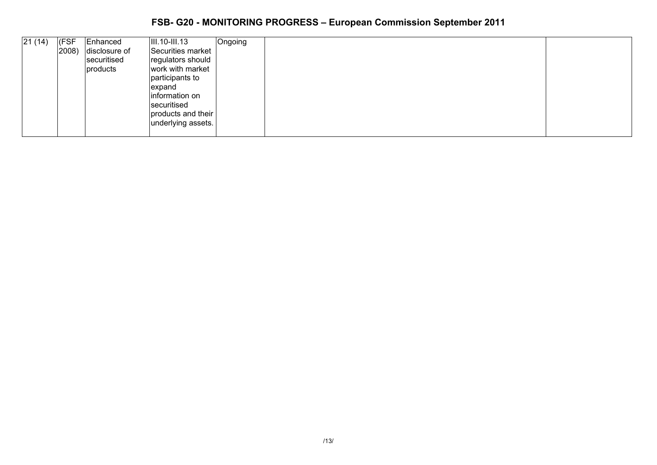| 21(14) | (FSF<br>$ 2008\rangle$ | Enhanced<br>disclosure of<br>securitised<br>products | $\vert$ III.10-III.13<br>Securities market<br>regulators should<br>work with market<br>participants to<br>expand<br>information on<br>securitised<br>products and their<br>underlying assets. | Ongoing |  |
|--------|------------------------|------------------------------------------------------|-----------------------------------------------------------------------------------------------------------------------------------------------------------------------------------------------|---------|--|
|        |                        |                                                      |                                                                                                                                                                                               |         |  |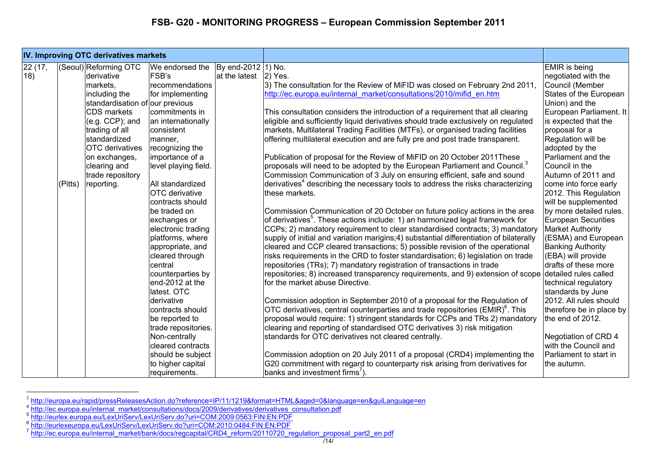|         |         | IV. Improving OTC derivatives markets |                                                            |               |                                                                                             |                            |
|---------|---------|---------------------------------------|------------------------------------------------------------|---------------|---------------------------------------------------------------------------------------------|----------------------------|
| 22 (17, |         | (Seoul) Reforming OTC                 | We endorsed the $\left  \text{By end-2012} \right $ 1) No. |               |                                                                                             | <b>EMIR</b> is being       |
| 18)     |         | derivative                            | FSB's                                                      | at the latest | $ 2)$ Yes.                                                                                  | negotiated with the        |
|         |         | markets,                              | recommendations                                            |               | 3) The consultation for the Review of MiFID was closed on February 2nd 2011,                | Council (Member            |
|         |         | including the                         | for implementing                                           |               | http://ec.europa.eu/internal market/consultations/2010/mifid en.htm                         | States of the European     |
|         |         | standardisation of our previous       |                                                            |               |                                                                                             | Union) and the             |
|         |         | <b>CDS</b> markets                    | commitments in                                             |               | This consultation considers the introduction of a requirement that all clearing             | European Parliament. It    |
|         |         | $(e.g. CCP)$ ; and                    | an internationally                                         |               | eligible and sufficiently liquid derivatives should trade exclusively on regulated          | is expected that the       |
|         |         | trading of all                        | consistent                                                 |               | markets, Multilateral Trading Facilities (MTFs), or organised trading facilities            | proposal for a             |
|         |         | standardized                          | manner,                                                    |               | offering multilateral execution and are fully pre and post trade transparent.               | Regulation will be         |
|         |         | <b>OTC</b> derivatives                | recognizing the                                            |               |                                                                                             | adopted by the             |
|         |         | on exchanges,                         | importance of a                                            |               | Publication of proposal for the Review of MiFID on 20 October 2011These                     | Parliament and the         |
|         |         | clearing and                          | level playing field.                                       |               | proposals will need to be adopted by the European Parliament and Council. <sup>3</sup>      | Council in the             |
|         |         | trade repository                      |                                                            |               | Commission Communication of 3 July on ensuring efficient, safe and sound                    | Autumn of 2011 and         |
|         | (Pitts) | reporting.                            | All standardized                                           |               | derivatives <sup>4</sup> describing the necessary tools to address the risks characterizing | come into force early      |
|         |         |                                       | OTC derivative                                             |               | these markets.                                                                              | 2012. This Regulation      |
|         |         |                                       | contracts should                                           |               |                                                                                             | will be supplemented       |
|         |         |                                       | be traded on                                               |               | Commission Communication of 20 October on future policy actions in the area                 | by more detailed rules.    |
|         |         |                                       | exchanges or                                               |               | of derivatives <sup>5</sup> . These actions include: 1) an harmonized legal framework for   | <b>European Securities</b> |
|         |         |                                       | electronic trading                                         |               | CCPs; 2) mandatory requirement to clear standardised contracts; 3) mandatory                | <b>Market Authority</b>    |
|         |         |                                       | platforms, where                                           |               | supply of initial and variation marigins;4) substantial differentiation of bilaterally      | (ESMA) and European        |
|         |         |                                       | appropriate, and                                           |               | cleared and CCP cleared transactions; 5) possible revision of the operational               | <b>Banking Authority</b>   |
|         |         |                                       | cleared through                                            |               | risks requirements in the CRD to foster standardisation; 6) legislation on trade            | (EBA) will provide         |
|         |         |                                       | central                                                    |               | repositories (TRs); 7) mandatory registration of transactions in trade                      | drafts of these more       |
|         |         |                                       | counterparties by                                          |               | repositories; 8) increased transparency requirements, and 9) extension of scope             | detailed rules called      |
|         |         |                                       | end-2012 at the                                            |               | for the market abuse Directive.                                                             | technical regulatory       |
|         |         |                                       | latest. OTC                                                |               |                                                                                             | standards by June          |
|         |         |                                       | derivative                                                 |               | Commission adoption in September 2010 of a proposal for the Regulation of                   | 2012. All rules should     |
|         |         |                                       | contracts should                                           |               | OTC derivatives, central counterparties and trade repositories (EMIR) <sup>6</sup> . This   | therefore be in place by   |
|         |         |                                       | be reported to                                             |               | proposal would require: 1) stringent standards for CCPs and TRs 2) mandatory                | the end of 2012.           |
|         |         |                                       | trade repositories.                                        |               | clearing and reporting of standardised OTC derivatives 3) risk mitigation                   |                            |
|         |         |                                       | Non-centrally                                              |               | standards for OTC derivatives not cleared centrally.                                        | Negotiation of CRD 4       |
|         |         |                                       | cleared contracts                                          |               |                                                                                             | with the Council and       |
|         |         |                                       | should be subject                                          |               | Commission adoption on 20 July 2011 of a proposal (CRD4) implementing the                   | Parliament to start in     |
|         |         |                                       | to higher capital                                          |               | G20 commitment with regard to counterparty risk arising from derivatives for                | the autumn.                |
|         |         |                                       | requirements.                                              |               | banks and investment firms')                                                                |                            |

<sup>&</sup>lt;sup>3</sup> http://europa.eu/rapid/pressReleasesAction.do?reference=IP/11/1219&format=HTML&aged=0&language=en&guiLanguage=en<br>4 http://ec.europa.eu/internal\_market/consultations/docs/2009/derivatives/derivatives\_consultation.pdf<br>5

http://eurlex.europa.eu/LexUriServ/LexUriServ.do?uri=COM:2009:0563:FIN:EN:PDF 6

<sup>° &</sup>lt;u>http://eurlexeuropa.eu/LexUriServ/LexUriServ.do?uri=COM:2010:0484:FIN:EN:PDF</u><br><sup>7</sup> <u>http://ec.europa.eu/internal\_market/bank/docs/regcapital/CRD4\_reform/20110720\_regulation\_proposal\_part2\_en.pdf</u>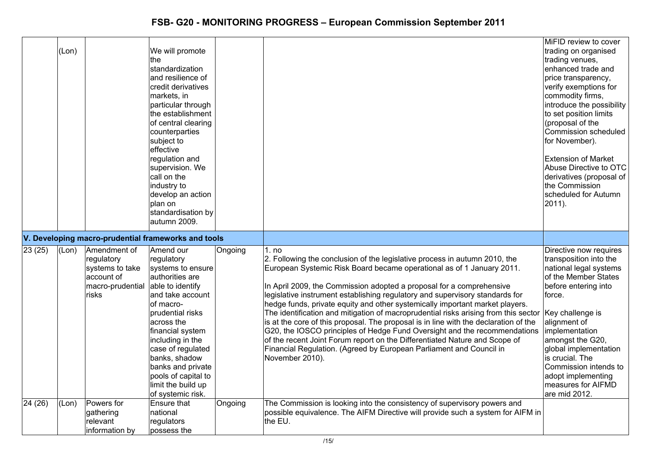|         | (Lon) |                                                                                          | We will promote<br><b>the</b><br>standardization<br>and resilience of<br>credit derivatives<br>markets, in<br>particular through<br>the establishment<br>of central clearing<br>counterparties<br>subject to<br>effective<br>regulation and<br>supervision. We<br>call on the<br>industry to<br>develop an action<br>plan on<br>standardisation by<br>autumn 2009. |         |                                                                                                                                                                                                                                                                                                                                                                                                                                                                                                                                                                                                                                                                                                                                                                                                                                          | MiFID review to cover<br>trading on organised<br>trading venues,<br>enhanced trade and<br>price transparency,<br>verify exemptions for<br>commodity firms,<br>introduce the possibility<br>to set position limits<br>(proposal of the<br>Commission scheduled<br>for November).<br><b>Extension of Market</b><br>Abuse Directive to OTC<br>derivatives (proposal of<br>the Commission<br>scheduled for Autumn<br>$2011$ ). |
|---------|-------|------------------------------------------------------------------------------------------|--------------------------------------------------------------------------------------------------------------------------------------------------------------------------------------------------------------------------------------------------------------------------------------------------------------------------------------------------------------------|---------|------------------------------------------------------------------------------------------------------------------------------------------------------------------------------------------------------------------------------------------------------------------------------------------------------------------------------------------------------------------------------------------------------------------------------------------------------------------------------------------------------------------------------------------------------------------------------------------------------------------------------------------------------------------------------------------------------------------------------------------------------------------------------------------------------------------------------------------|----------------------------------------------------------------------------------------------------------------------------------------------------------------------------------------------------------------------------------------------------------------------------------------------------------------------------------------------------------------------------------------------------------------------------|
|         |       |                                                                                          | V. Developing macro-prudential frameworks and tools                                                                                                                                                                                                                                                                                                                |         |                                                                                                                                                                                                                                                                                                                                                                                                                                                                                                                                                                                                                                                                                                                                                                                                                                          |                                                                                                                                                                                                                                                                                                                                                                                                                            |
| 23 (25) | (Lon) | Amendment of<br>regulatory<br>systems to take<br>account of<br>macro-prudential<br>risks | Amend our<br>regulatory<br>systems to ensure<br>authorities are<br>able to identify<br>and take account<br>of macro-<br>prudential risks<br>across the<br>financial system<br>including in the<br>case of regulated<br>banks, shadow<br>banks and private<br>pools of capital to<br>limit the build up<br>of systemic risk.                                        | Ongoing | 1. no<br>2. Following the conclusion of the legislative process in autumn 2010, the<br>European Systemic Risk Board became operational as of 1 January 2011.<br>In April 2009, the Commission adopted a proposal for a comprehensive<br>legislative instrument establishing regulatory and supervisory standards for<br>hedge funds, private equity and other systemically important market players.<br>The identification and mitigation of macroprudential risks arising from this sector<br>is at the core of this proposal. The proposal is in line with the declaration of the<br>G20, the IOSCO principles of Hedge Fund Oversight and the recommendations<br>of the recent Joint Forum report on the Differentiated Nature and Scope of<br>Financial Regulation. (Agreed by European Parliament and Council in<br>November 2010). | Directive now requires<br>transposition into the<br>national legal systems<br>of the Member States<br>before entering into<br>force.<br>Key challenge is<br>alignment of<br>implementation<br>amongst the G20,<br>global implementation<br>is crucial. The<br>Commission intends to<br>adopt implementing<br>measures for AIFMD<br>are mid 2012.                                                                           |
| 24(26)  | (Lon) | Powers for<br>gathering<br>relevant<br>information by                                    | Ensure that<br>national<br>regulators<br>possess the                                                                                                                                                                                                                                                                                                               | Ongoing | The Commission is looking into the consistency of supervisory powers and<br>possible equivalence. The AIFM Directive will provide such a system for AIFM in<br>the EU.                                                                                                                                                                                                                                                                                                                                                                                                                                                                                                                                                                                                                                                                   |                                                                                                                                                                                                                                                                                                                                                                                                                            |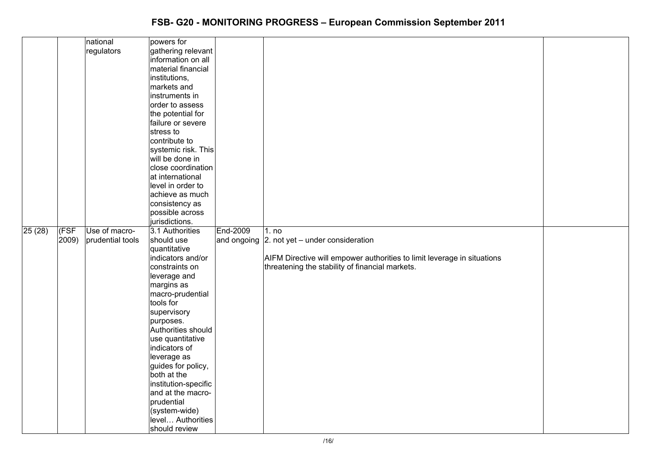|        |       | national         | powers for           |          |                                                                         |  |
|--------|-------|------------------|----------------------|----------|-------------------------------------------------------------------------|--|
|        |       | regulators       | gathering relevant   |          |                                                                         |  |
|        |       |                  | information on all   |          |                                                                         |  |
|        |       |                  | material financial   |          |                                                                         |  |
|        |       |                  | institutions,        |          |                                                                         |  |
|        |       |                  | markets and          |          |                                                                         |  |
|        |       |                  | instruments in       |          |                                                                         |  |
|        |       |                  | order to assess      |          |                                                                         |  |
|        |       |                  | the potential for    |          |                                                                         |  |
|        |       |                  | failure or severe    |          |                                                                         |  |
|        |       |                  | stress to            |          |                                                                         |  |
|        |       |                  | contribute to        |          |                                                                         |  |
|        |       |                  | systemic risk. This  |          |                                                                         |  |
|        |       |                  | will be done in      |          |                                                                         |  |
|        |       |                  |                      |          |                                                                         |  |
|        |       |                  | close coordination   |          |                                                                         |  |
|        |       |                  | at international     |          |                                                                         |  |
|        |       |                  | level in order to    |          |                                                                         |  |
|        |       |                  | achieve as much      |          |                                                                         |  |
|        |       |                  | consistency as       |          |                                                                         |  |
|        |       |                  | possible across      |          |                                                                         |  |
|        |       |                  | jurisdictions.       |          |                                                                         |  |
| 25(28) | (FSF) | Use of macro-    | 3.1 Authorities      | End-2009 | 1. no                                                                   |  |
|        | 2009  | prudential tools | should use           |          | and ongoing $ 2$ . not yet – under consideration                        |  |
|        |       |                  | quantitative         |          |                                                                         |  |
|        |       |                  | indicators and/or    |          | AIFM Directive will empower authorities to limit leverage in situations |  |
|        |       |                  | constraints on       |          | threatening the stability of financial markets.                         |  |
|        |       |                  | leverage and         |          |                                                                         |  |
|        |       |                  | margins as           |          |                                                                         |  |
|        |       |                  | macro-prudential     |          |                                                                         |  |
|        |       |                  | tools for            |          |                                                                         |  |
|        |       |                  | supervisory          |          |                                                                         |  |
|        |       |                  | purposes.            |          |                                                                         |  |
|        |       |                  | Authorities should   |          |                                                                         |  |
|        |       |                  | use quantitative     |          |                                                                         |  |
|        |       |                  | indicators of        |          |                                                                         |  |
|        |       |                  | leverage as          |          |                                                                         |  |
|        |       |                  | guides for policy,   |          |                                                                         |  |
|        |       |                  | both at the          |          |                                                                         |  |
|        |       |                  | institution-specific |          |                                                                         |  |
|        |       |                  | and at the macro-    |          |                                                                         |  |
|        |       |                  | prudential           |          |                                                                         |  |
|        |       |                  | (system-wide)        |          |                                                                         |  |
|        |       |                  | level Authorities    |          |                                                                         |  |
|        |       |                  | should review        |          |                                                                         |  |
|        |       |                  |                      |          |                                                                         |  |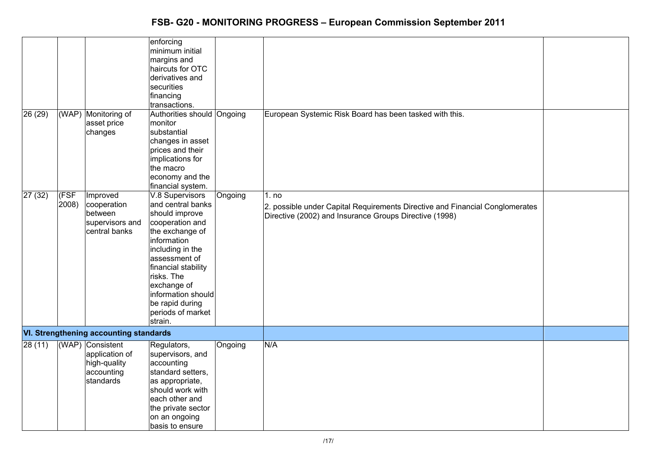| 26(29) |                | (WAP) Monitoring of<br>asset price                                            | enforcing<br>minimum initial<br>margins and<br>haircuts for OTC<br>derivatives and<br>securities<br>financing<br>transactions.<br>Authorities should<br>monitor                                                                                                               | Ongoing | European Systemic Risk Board has been tasked with this.                                                                                         |  |
|--------|----------------|-------------------------------------------------------------------------------|-------------------------------------------------------------------------------------------------------------------------------------------------------------------------------------------------------------------------------------------------------------------------------|---------|-------------------------------------------------------------------------------------------------------------------------------------------------|--|
|        |                | changes                                                                       | substantial<br>changes in asset<br>prices and their<br>implications for<br>the macro<br>economy and the<br>financial system.                                                                                                                                                  |         |                                                                                                                                                 |  |
| 27(32) | (FSF)<br>2008) | Improved<br>cooperation<br>between<br>supervisors and<br>central banks        | V.8 Supervisors<br>and central banks<br>should improve<br>cooperation and<br>the exchange of<br>information<br>including in the<br>assessment of<br>financial stability<br>risks. The<br>exchange of<br>information should<br>be rapid during<br>periods of market<br>strain. | Ongoing | 1. no<br>2. possible under Capital Requirements Directive and Financial Conglomerates<br>Directive (2002) and Insurance Groups Directive (1998) |  |
|        |                | <b>VI. Strengthening accounting standards</b>                                 |                                                                                                                                                                                                                                                                               |         |                                                                                                                                                 |  |
| 28(11) |                | (WAP) Consistent<br>application of<br>high-quality<br>accounting<br>standards | Regulators,<br>supervisors, and<br>accounting<br>standard setters,<br>as appropriate,<br>should work with<br>each other and<br>the private sector<br>on an ongoing<br>basis to ensure                                                                                         | Ongoing | N/A                                                                                                                                             |  |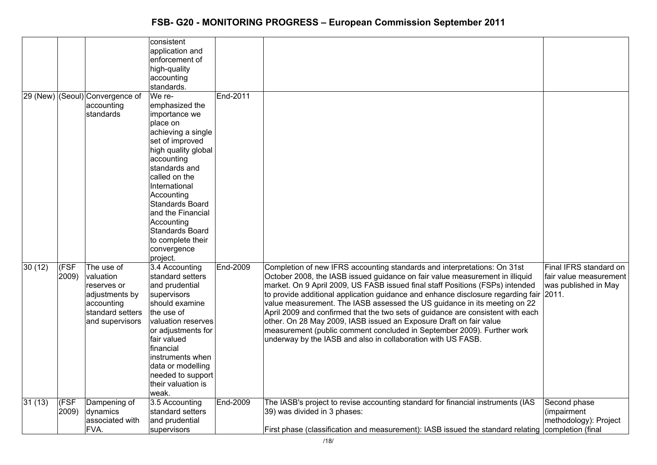|        |       |                                 | consistent             |          |                                                                                                                                                               |                        |
|--------|-------|---------------------------------|------------------------|----------|---------------------------------------------------------------------------------------------------------------------------------------------------------------|------------------------|
|        |       |                                 | application and        |          |                                                                                                                                                               |                        |
|        |       |                                 | enforcement of         |          |                                                                                                                                                               |                        |
|        |       |                                 | high-quality           |          |                                                                                                                                                               |                        |
|        |       |                                 |                        |          |                                                                                                                                                               |                        |
|        |       |                                 | accounting             |          |                                                                                                                                                               |                        |
|        |       |                                 | standards.             |          |                                                                                                                                                               |                        |
|        |       | 29 (New) (Seoul) Convergence of | We re-                 | End-2011 |                                                                                                                                                               |                        |
|        |       | accounting                      | emphasized the         |          |                                                                                                                                                               |                        |
|        |       | standards                       | importance we          |          |                                                                                                                                                               |                        |
|        |       |                                 | place on               |          |                                                                                                                                                               |                        |
|        |       |                                 | achieving a single     |          |                                                                                                                                                               |                        |
|        |       |                                 | set of improved        |          |                                                                                                                                                               |                        |
|        |       |                                 | high quality global    |          |                                                                                                                                                               |                        |
|        |       |                                 | accounting             |          |                                                                                                                                                               |                        |
|        |       |                                 | standards and          |          |                                                                                                                                                               |                        |
|        |       |                                 | called on the          |          |                                                                                                                                                               |                        |
|        |       |                                 | International          |          |                                                                                                                                                               |                        |
|        |       |                                 | Accounting             |          |                                                                                                                                                               |                        |
|        |       |                                 | Standards Board        |          |                                                                                                                                                               |                        |
|        |       |                                 | and the Financial      |          |                                                                                                                                                               |                        |
|        |       |                                 | Accounting             |          |                                                                                                                                                               |                        |
|        |       |                                 | <b>Standards Board</b> |          |                                                                                                                                                               |                        |
|        |       |                                 | to complete their      |          |                                                                                                                                                               |                        |
|        |       |                                 | convergence            |          |                                                                                                                                                               |                        |
|        |       |                                 | project.               |          |                                                                                                                                                               |                        |
| 30(12) | (FSF  | The use of                      | 3.4 Accounting         | End-2009 | Completion of new IFRS accounting standards and interpretations: On 31st                                                                                      | Final IFRS standard on |
|        |       | valuation                       | standard setters       |          |                                                                                                                                                               | fair value measurement |
|        | 2009) | reserves or                     |                        |          | October 2008, the IASB issued guidance on fair value measurement in illiquid<br>market. On 9 April 2009, US FASB issued final staff Positions (FSPs) intended |                        |
|        |       |                                 | and prudential         |          |                                                                                                                                                               | was published in May   |
|        |       | adjustments by                  | supervisors            |          | to provide additional application guidance and enhance disclosure regarding fair                                                                              | 2011.                  |
|        |       | accounting                      | should examine         |          | value measurement. The IASB assessed the US guidance in its meeting on 22                                                                                     |                        |
|        |       | standard setters                | the use of             |          | April 2009 and confirmed that the two sets of guidance are consistent with each                                                                               |                        |
|        |       | and supervisors                 | valuation reserves     |          | other. On 28 May 2009, IASB issued an Exposure Draft on fair value                                                                                            |                        |
|        |       |                                 | or adjustments for     |          | measurement (public comment concluded in September 2009). Further work                                                                                        |                        |
|        |       |                                 | fair valued            |          | underway by the IASB and also in collaboration with US FASB.                                                                                                  |                        |
|        |       |                                 | financial              |          |                                                                                                                                                               |                        |
|        |       |                                 | instruments when       |          |                                                                                                                                                               |                        |
|        |       |                                 | data or modelling      |          |                                                                                                                                                               |                        |
|        |       |                                 | needed to support      |          |                                                                                                                                                               |                        |
|        |       |                                 | their valuation is     |          |                                                                                                                                                               |                        |
|        |       |                                 | weak.                  |          |                                                                                                                                                               |                        |
| 31(13) | (FSF  | Dampening of                    | 3.5 Accounting         | End-2009 | The IASB's project to revise accounting standard for financial instruments (IAS                                                                               | Second phase           |
|        | 2009) | dynamics                        | standard setters       |          | 39) was divided in 3 phases:                                                                                                                                  | (impairment            |
|        |       | associated with                 | and prudential         |          |                                                                                                                                                               | methodology): Project  |
|        |       | FVA.                            | supervisors            |          | First phase (classification and measurement): IASB issued the standard relating completion (final                                                             |                        |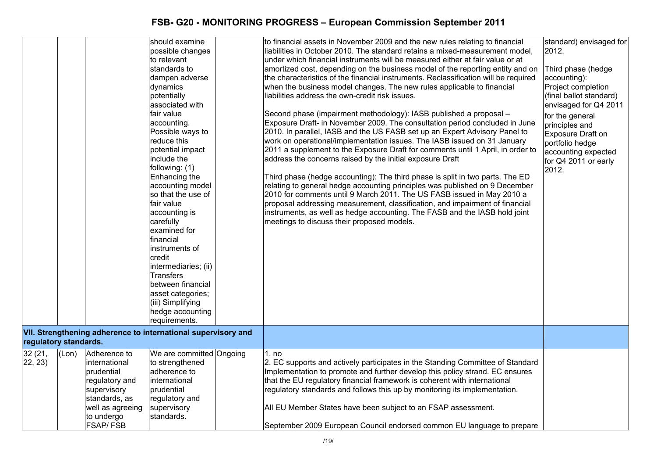|                       |       |                  | should examine                                                | to financial assets in November 2009 and the new rules relating to financial        | standard) envisaged for |
|-----------------------|-------|------------------|---------------------------------------------------------------|-------------------------------------------------------------------------------------|-------------------------|
|                       |       |                  | possible changes                                              | liabilities in October 2010. The standard retains a mixed-measurement model,        | 2012.                   |
|                       |       |                  | to relevant                                                   | under which financial instruments will be measured either at fair value or at       |                         |
|                       |       |                  | standards to                                                  | amortized cost, depending on the business model of the reporting entity and on      | Third phase (hedge      |
|                       |       |                  | dampen adverse                                                | the characteristics of the financial instruments. Reclassification will be required | accounting):            |
|                       |       |                  | dynamics                                                      | when the business model changes. The new rules applicable to financial              | Project completion      |
|                       |       |                  | potentially                                                   | liabilities address the own-credit risk issues.                                     | (final ballot standard) |
|                       |       |                  | associated with                                               |                                                                                     | envisaged for Q4 2011   |
|                       |       |                  | fair value                                                    | Second phase (impairment methodology): IASB published a proposal -                  | for the general         |
|                       |       |                  | accounting.                                                   | Exposure Draft- in November 2009. The consultation period concluded in June         | principles and          |
|                       |       |                  | Possible ways to                                              | 2010. In parallel, IASB and the US FASB set up an Expert Advisory Panel to          | Exposure Draft on       |
|                       |       |                  | reduce this                                                   | work on operational/implementation issues. The IASB issued on 31 January            | portfolio hedge         |
|                       |       |                  | potential impact                                              | 2011 a supplement to the Exposure Draft for comments until 1 April, in order to     | accounting expected     |
|                       |       |                  | include the                                                   | address the concerns raised by the initial exposure Draft                           | for Q4 2011 or early    |
|                       |       |                  | following: (1)                                                |                                                                                     | 2012.                   |
|                       |       |                  | Enhancing the                                                 | Third phase (hedge accounting): The third phase is split in two parts. The ED       |                         |
|                       |       |                  | accounting model                                              | relating to general hedge accounting principles was published on 9 December         |                         |
|                       |       |                  | so that the use of                                            | 2010 for comments until 9 March 2011. The US FASB issued in May 2010 a              |                         |
|                       |       |                  | fair value                                                    | proposal addressing measurement, classification, and impairment of financial        |                         |
|                       |       |                  | accounting is                                                 | instruments, as well as hedge accounting. The FASB and the IASB hold joint          |                         |
|                       |       |                  | carefully                                                     | meetings to discuss their proposed models.                                          |                         |
|                       |       |                  | examined for                                                  |                                                                                     |                         |
|                       |       |                  | financial                                                     |                                                                                     |                         |
|                       |       |                  | instruments of                                                |                                                                                     |                         |
|                       |       |                  | credit                                                        |                                                                                     |                         |
|                       |       |                  | intermediaries; (ii)                                          |                                                                                     |                         |
|                       |       |                  | <b>Transfers</b>                                              |                                                                                     |                         |
|                       |       |                  | between financial                                             |                                                                                     |                         |
|                       |       |                  | asset categories;                                             |                                                                                     |                         |
|                       |       |                  | (iii) Simplifying                                             |                                                                                     |                         |
|                       |       |                  | hedge accounting                                              |                                                                                     |                         |
|                       |       |                  | requirements.                                                 |                                                                                     |                         |
|                       |       |                  | VII. Strengthening adherence to international supervisory and |                                                                                     |                         |
| regulatory standards. |       |                  |                                                               |                                                                                     |                         |
| 32(21,                | (Lon) | Adherence to     | We are committed Ongoing                                      | 1. no                                                                               |                         |
| 22, 23)               |       | international    | to strengthened                                               | 2. EC supports and actively participates in the Standing Committee of Standard      |                         |
|                       |       | prudential       | adherence to                                                  | Implementation to promote and further develop this policy strand. EC ensures        |                         |
|                       |       | regulatory and   | international                                                 | that the EU regulatory financial framework is coherent with international           |                         |
|                       |       | supervisory      | prudential                                                    | regulatory standards and follows this up by monitoring its implementation.          |                         |
|                       |       | standards, as    | regulatory and                                                |                                                                                     |                         |
|                       |       | well as agreeing | supervisory                                                   | All EU Member States have been subject to an FSAP assessment.                       |                         |
|                       |       | to undergo       | standards.                                                    |                                                                                     |                         |
|                       |       | <b>FSAP/FSB</b>  |                                                               | September 2009 European Council endorsed common EU language to prepare              |                         |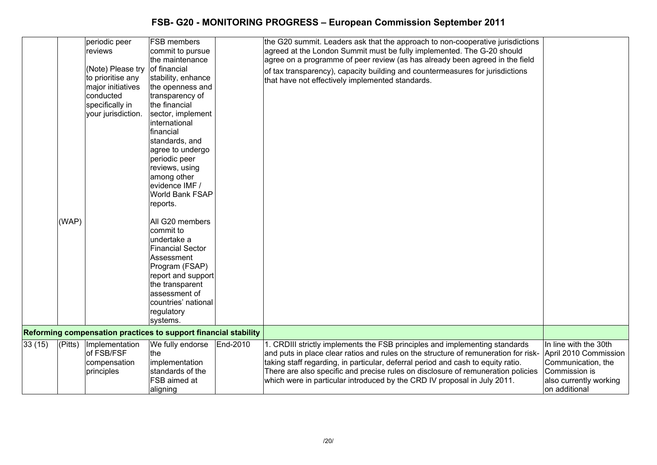|        | (WAP)   | periodic peer<br>reviews<br>(Note) Please try<br>to prioritise any<br>major initiatives<br>conducted<br>specifically in<br>your jurisdiction. | <b>FSB</b> members<br>commit to pursue<br>the maintenance<br>of financial<br>stability, enhance<br>the openness and<br>transparency of<br>the financial<br>sector, implement<br>international<br>financial<br>standards, and<br>agree to undergo<br>periodic peer<br>reviews, using<br>among other<br>evidence IMF /<br>World Bank FSAP<br>reports.<br>All G20 members<br>commit to<br>undertake a<br><b>Financial Sector</b><br>Assessment<br>Program (FSAP)<br>report and support<br>the transparent<br>assessment of<br>countries' national<br>regulatory<br>systems. |          | the G20 summit. Leaders ask that the approach to non-cooperative jurisdictions<br>agreed at the London Summit must be fully implemented. The G-20 should<br>agree on a programme of peer review (as has already been agreed in the field<br>of tax transparency), capacity building and countermeasures for jurisdictions<br>that have not effectively implemented standards. |                                                                                                         |
|--------|---------|-----------------------------------------------------------------------------------------------------------------------------------------------|--------------------------------------------------------------------------------------------------------------------------------------------------------------------------------------------------------------------------------------------------------------------------------------------------------------------------------------------------------------------------------------------------------------------------------------------------------------------------------------------------------------------------------------------------------------------------|----------|-------------------------------------------------------------------------------------------------------------------------------------------------------------------------------------------------------------------------------------------------------------------------------------------------------------------------------------------------------------------------------|---------------------------------------------------------------------------------------------------------|
|        |         |                                                                                                                                               | Reforming compensation practices to support financial stability                                                                                                                                                                                                                                                                                                                                                                                                                                                                                                          |          |                                                                                                                                                                                                                                                                                                                                                                               |                                                                                                         |
| 33(15) | (Pitts) | Implementation                                                                                                                                | We fully endorse                                                                                                                                                                                                                                                                                                                                                                                                                                                                                                                                                         | End-2010 | 1. CRDIII strictly implements the FSB principles and implementing standards                                                                                                                                                                                                                                                                                                   | In line with the 30th                                                                                   |
|        |         | of FSB/FSF<br>compensation<br>principles                                                                                                      | the<br>implementation<br>standards of the<br>FSB aimed at<br>aligning                                                                                                                                                                                                                                                                                                                                                                                                                                                                                                    |          | and puts in place clear ratios and rules on the structure of remuneration for risk-<br>taking staff regarding, in particular, deferral period and cash to equity ratio.<br>There are also specific and precise rules on disclosure of remuneration policies<br>which were in particular introduced by the CRD IV proposal in July 2011.                                       | April 2010 Commission<br>Communication, the<br>Commission is<br>also currently working<br>on additional |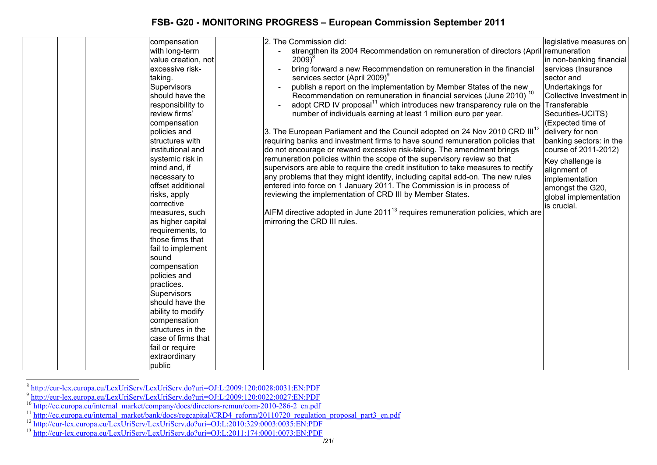|  | compensation        | 2. The Commission did:<br>legislative measures on                                                            |
|--|---------------------|--------------------------------------------------------------------------------------------------------------|
|  | with long-term      | strengthen its 2004 Recommendation on remuneration of directors (April remuneration                          |
|  | value creation, not | $2009)^8$<br>in non-banking financial                                                                        |
|  | excessive risk-     | bring forward a new Recommendation on remuneration in the financial<br>services (Insurance                   |
|  | taking.             | services sector (April 2009) <sup>9</sup><br>sector and                                                      |
|  | Supervisors         | publish a report on the implementation by Member States of the new<br>Undertakings for                       |
|  | should have the     | Recommendation on remuneration in financial services (June 2010) <sup>10</sup><br>Collective Investment in   |
|  | responsibility to   | adopt CRD IV proposal <sup>11</sup> which introduces new transparency rule on the<br>Transferable            |
|  | review firms'       | Securities-UCITS)<br>number of individuals earning at least 1 million euro per year.                         |
|  | compensation        | (Expected time of                                                                                            |
|  | policies and        | [3. The European Parliament and the Council adopted on 24 Nov 2010 CRD III <sup>12</sup><br>delivery for non |
|  | structures with     | requiring banks and investment firms to have sound remuneration policies that<br>banking sectors: in the     |
|  | institutional and   | do not encourage or reward excessive risk-taking. The amendment brings<br>course of 2011-2012)               |
|  | systemic risk in    | remuneration policies within the scope of the supervisory review so that<br>Key challenge is                 |
|  | mind and, if        | supervisors are able to require the credit institution to take measures to rectify<br>alignment of           |
|  | necessary to        | any problems that they might identify, including capital add-on. The new rules<br>implementation             |
|  | offset additional   | entered into force on 1 January 2011. The Commission is in process of<br>amongst the G20,                    |
|  | risks, apply        | reviewing the implementation of CRD III by Member States.<br>global implementation                           |
|  | corrective          | is crucial.                                                                                                  |
|  | measures, such      | $AIFM$ directive adopted in June 2011 <sup>13</sup> requires remuneration policies, which are                |
|  | as higher capital   | mirroring the CRD III rules.                                                                                 |
|  | requirements, to    |                                                                                                              |
|  | those firms that    |                                                                                                              |
|  | fail to implement   |                                                                                                              |
|  | sound               |                                                                                                              |
|  | compensation        |                                                                                                              |
|  | policies and        |                                                                                                              |
|  | practices.          |                                                                                                              |
|  | Supervisors         |                                                                                                              |
|  | should have the     |                                                                                                              |
|  | ability to modify   |                                                                                                              |
|  | compensation        |                                                                                                              |
|  | structures in the   |                                                                                                              |
|  | case of firms that  |                                                                                                              |
|  | fail or require     |                                                                                                              |
|  | extraordinary       |                                                                                                              |
|  | public              |                                                                                                              |

<sup>&</sup>lt;sup>8</sup> http://eur-lex.europa.eu/LexUriServ/LexUriServ.do?uri=OJ:L:2009:120:0028:0031:EN:PDF<br><sup>9</sup> http://eur-lex.europa.eu/LexUriServ/LexUriServ.do?uri=OJ:L:2009:120:0022:0027:EN:PDF<br><sup>10</sup> http://ec.europa.eu/internal\_market/com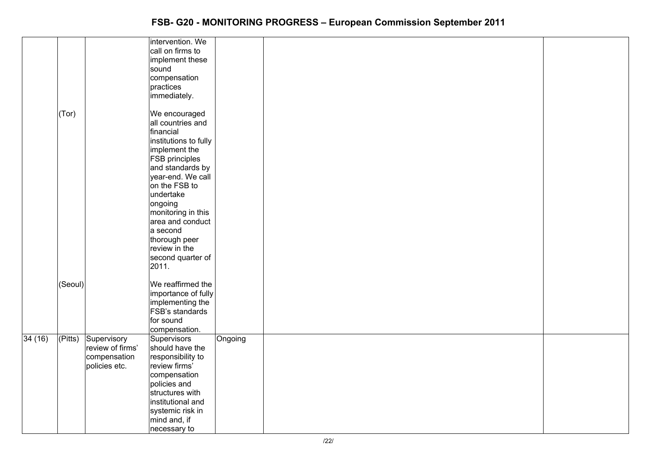|        |         |                  | intervention. We<br>call on firms to  |         |  |
|--------|---------|------------------|---------------------------------------|---------|--|
|        |         |                  | implement these                       |         |  |
|        |         |                  | sound                                 |         |  |
|        |         |                  | compensation                          |         |  |
|        |         |                  | practices                             |         |  |
|        |         |                  | immediately.                          |         |  |
|        |         |                  |                                       |         |  |
|        | (Tor)   |                  | We encouraged                         |         |  |
|        |         |                  | all countries and                     |         |  |
|        |         |                  | financial                             |         |  |
|        |         |                  | institutions to fully                 |         |  |
|        |         |                  | implement the                         |         |  |
|        |         |                  | FSB principles                        |         |  |
|        |         |                  | and standards by<br>year-end. We call |         |  |
|        |         |                  | on the FSB to                         |         |  |
|        |         |                  | undertake                             |         |  |
|        |         |                  | ongoing                               |         |  |
|        |         |                  | monitoring in this                    |         |  |
|        |         |                  | area and conduct                      |         |  |
|        |         |                  | a second                              |         |  |
|        |         |                  | thorough peer                         |         |  |
|        |         |                  | review in the                         |         |  |
|        |         |                  | second quarter of                     |         |  |
|        |         |                  | 2011.                                 |         |  |
|        |         |                  |                                       |         |  |
|        | (Seoul) |                  | We reaffirmed the                     |         |  |
|        |         |                  | importance of fully                   |         |  |
|        |         |                  | implementing the<br>FSB's standards   |         |  |
|        |         |                  | for sound                             |         |  |
|        |         |                  | compensation.                         |         |  |
| 34(16) | (Pitts) | Supervisory      | Supervisors                           | Ongoing |  |
|        |         | review of firms' | should have the                       |         |  |
|        |         | compensation     | responsibility to                     |         |  |
|        |         | policies etc.    | review firms'                         |         |  |
|        |         |                  | compensation                          |         |  |
|        |         |                  | policies and                          |         |  |
|        |         |                  | structures with                       |         |  |
|        |         |                  | institutional and                     |         |  |
|        |         |                  | systemic risk in                      |         |  |
|        |         |                  | mind and, if                          |         |  |
|        |         |                  | necessary to                          |         |  |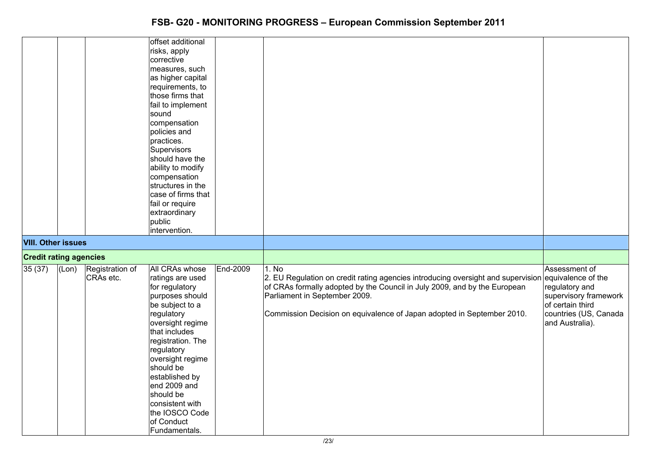|                               |       |                 | offset additional     |          |                                                                                                     |                       |
|-------------------------------|-------|-----------------|-----------------------|----------|-----------------------------------------------------------------------------------------------------|-----------------------|
|                               |       |                 | risks, apply          |          |                                                                                                     |                       |
|                               |       |                 | corrective            |          |                                                                                                     |                       |
|                               |       |                 | measures, such        |          |                                                                                                     |                       |
|                               |       |                 | as higher capital     |          |                                                                                                     |                       |
|                               |       |                 | requirements, to      |          |                                                                                                     |                       |
|                               |       |                 | those firms that      |          |                                                                                                     |                       |
|                               |       |                 | fail to implement     |          |                                                                                                     |                       |
|                               |       |                 | sound                 |          |                                                                                                     |                       |
|                               |       |                 |                       |          |                                                                                                     |                       |
|                               |       |                 | compensation          |          |                                                                                                     |                       |
|                               |       |                 | policies and          |          |                                                                                                     |                       |
|                               |       |                 | practices.            |          |                                                                                                     |                       |
|                               |       |                 | Supervisors           |          |                                                                                                     |                       |
|                               |       |                 | should have the       |          |                                                                                                     |                       |
|                               |       |                 | ability to modify     |          |                                                                                                     |                       |
|                               |       |                 | compensation          |          |                                                                                                     |                       |
|                               |       |                 | structures in the     |          |                                                                                                     |                       |
|                               |       |                 | case of firms that    |          |                                                                                                     |                       |
|                               |       |                 | fail or require       |          |                                                                                                     |                       |
|                               |       |                 | extraordinary         |          |                                                                                                     |                       |
|                               |       |                 | public                |          |                                                                                                     |                       |
|                               |       |                 | intervention.         |          |                                                                                                     |                       |
| <b>VIII. Other issues</b>     |       |                 |                       |          |                                                                                                     |                       |
| <b>Credit rating agencies</b> |       |                 |                       |          |                                                                                                     |                       |
| 35(37)                        | (Lon) | Registration of | <b>All CRAs whose</b> | End-2009 | 1. No                                                                                               | Assessment of         |
|                               |       | CRAs etc.       | ratings are used      |          | 2. EU Regulation on credit rating agencies introducing oversight and supervision equivalence of the |                       |
|                               |       |                 | for regulatory        |          | of CRAs formally adopted by the Council in July 2009, and by the European                           | regulatory and        |
|                               |       |                 | purposes should       |          | Parliament in September 2009.                                                                       | supervisory framework |
|                               |       |                 | be subject to a       |          |                                                                                                     | of certain third      |
|                               |       |                 | regulatory            |          | Commission Decision on equivalence of Japan adopted in September 2010.                              | countries (US, Canada |
|                               |       |                 | oversight regime      |          |                                                                                                     | and Australia).       |
|                               |       |                 | that includes         |          |                                                                                                     |                       |
|                               |       |                 | registration. The     |          |                                                                                                     |                       |
|                               |       |                 | regulatory            |          |                                                                                                     |                       |
|                               |       |                 | oversight regime      |          |                                                                                                     |                       |
|                               |       |                 | should be             |          |                                                                                                     |                       |
|                               |       |                 | established by        |          |                                                                                                     |                       |
|                               |       |                 | end 2009 and          |          |                                                                                                     |                       |
|                               |       |                 | should be             |          |                                                                                                     |                       |
|                               |       |                 | consistent with       |          |                                                                                                     |                       |
|                               |       |                 | the IOSCO Code        |          |                                                                                                     |                       |
|                               |       |                 | of Conduct            |          |                                                                                                     |                       |
|                               |       |                 |                       |          |                                                                                                     |                       |
|                               |       |                 | Fundamentals.         |          |                                                                                                     |                       |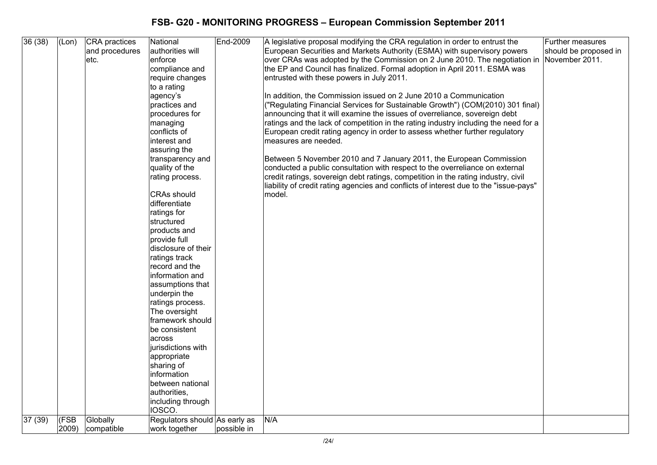| 36(38) | (Lon) | CRA practices  | National                      | End-2009    | A legislative proposal modifying the CRA regulation in order to entrust the                                                                                                | Further measures      |
|--------|-------|----------------|-------------------------------|-------------|----------------------------------------------------------------------------------------------------------------------------------------------------------------------------|-----------------------|
|        |       | and procedures | authorities will              |             | European Securities and Markets Authority (ESMA) with supervisory powers                                                                                                   | should be proposed in |
|        |       | etc.           | enforce                       |             | over CRAs was adopted by the Commission on 2 June 2010. The negotiation in                                                                                                 | November 2011.        |
|        |       |                | compliance and                |             | the EP and Council has finalized. Formal adoption in April 2011. ESMA was                                                                                                  |                       |
|        |       |                | require changes               |             | entrusted with these powers in July 2011.                                                                                                                                  |                       |
|        |       |                | to a rating                   |             |                                                                                                                                                                            |                       |
|        |       |                | agency's                      |             | In addition, the Commission issued on 2 June 2010 a Communication                                                                                                          |                       |
|        |       |                | practices and                 |             | ("Regulating Financial Services for Sustainable Growth") (COM(2010) 301 final)                                                                                             |                       |
|        |       |                | procedures for                |             | announcing that it will examine the issues of overreliance, sovereign debt                                                                                                 |                       |
|        |       |                | managing                      |             | ratings and the lack of competition in the rating industry including the need for a                                                                                        |                       |
|        |       |                | conflicts of                  |             | European credit rating agency in order to assess whether further regulatory                                                                                                |                       |
|        |       |                | interest and                  |             | measures are needed.                                                                                                                                                       |                       |
|        |       |                | assuring the                  |             |                                                                                                                                                                            |                       |
|        |       |                | transparency and              |             | Between 5 November 2010 and 7 January 2011, the European Commission                                                                                                        |                       |
|        |       |                | quality of the                |             | conducted a public consultation with respect to the overreliance on external                                                                                               |                       |
|        |       |                | rating process.               |             | credit ratings, sovereign debt ratings, competition in the rating industry, civil<br>liability of credit rating agencies and conflicts of interest due to the "issue-pays" |                       |
|        |       |                | <b>CRAs should</b>            |             | model.                                                                                                                                                                     |                       |
|        |       |                | differentiate                 |             |                                                                                                                                                                            |                       |
|        |       |                | ratings for                   |             |                                                                                                                                                                            |                       |
|        |       |                | structured                    |             |                                                                                                                                                                            |                       |
|        |       |                | products and                  |             |                                                                                                                                                                            |                       |
|        |       |                | provide full                  |             |                                                                                                                                                                            |                       |
|        |       |                | disclosure of their           |             |                                                                                                                                                                            |                       |
|        |       |                | ratings track                 |             |                                                                                                                                                                            |                       |
|        |       |                | record and the                |             |                                                                                                                                                                            |                       |
|        |       |                | information and               |             |                                                                                                                                                                            |                       |
|        |       |                | assumptions that              |             |                                                                                                                                                                            |                       |
|        |       |                | underpin the                  |             |                                                                                                                                                                            |                       |
|        |       |                | ratings process.              |             |                                                                                                                                                                            |                       |
|        |       |                | The oversight                 |             |                                                                                                                                                                            |                       |
|        |       |                | framework should              |             |                                                                                                                                                                            |                       |
|        |       |                | be consistent                 |             |                                                                                                                                                                            |                       |
|        |       |                | lacross                       |             |                                                                                                                                                                            |                       |
|        |       |                | jurisdictions with            |             |                                                                                                                                                                            |                       |
|        |       |                | appropriate                   |             |                                                                                                                                                                            |                       |
|        |       |                | sharing of                    |             |                                                                                                                                                                            |                       |
|        |       |                | information                   |             |                                                                                                                                                                            |                       |
|        |       |                | between national              |             |                                                                                                                                                                            |                       |
|        |       |                | authorities,                  |             |                                                                                                                                                                            |                       |
|        |       |                | including through             |             |                                                                                                                                                                            |                       |
|        |       |                | IOSCO.                        |             |                                                                                                                                                                            |                       |
| 37(39) | (FSB  | Globally       | Regulators should As early as |             | N/A                                                                                                                                                                        |                       |
|        | 2009) | compatible     | work together                 | possible in |                                                                                                                                                                            |                       |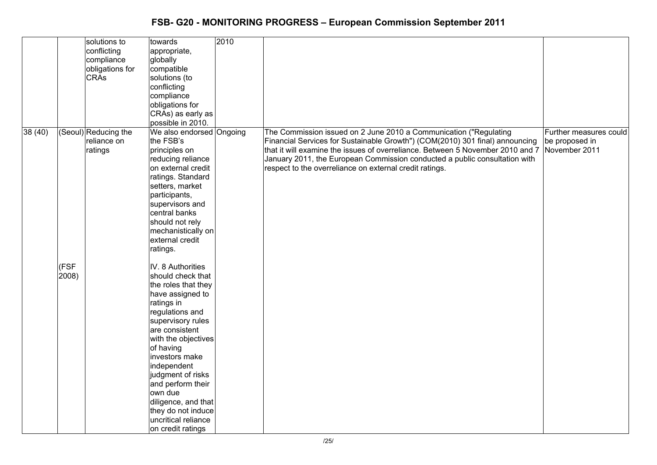|        |               | solutions to<br>conflicting<br>compliance<br>obligations for<br><b>CRA<sub>s</sub></b> | towards<br>appropriate,<br>globally<br>compatible<br>solutions (to<br>conflicting<br>compliance<br>obligations for<br>CRAs) as early as<br>possible in 2010.                                                                                                                                                                                                                 | 2010 |                                                                                                                                                                                                                                                                                                                                                                              |                                                           |
|--------|---------------|----------------------------------------------------------------------------------------|------------------------------------------------------------------------------------------------------------------------------------------------------------------------------------------------------------------------------------------------------------------------------------------------------------------------------------------------------------------------------|------|------------------------------------------------------------------------------------------------------------------------------------------------------------------------------------------------------------------------------------------------------------------------------------------------------------------------------------------------------------------------------|-----------------------------------------------------------|
| 38(40) |               | (Seoul)Reducing the<br>reliance on<br>ratings                                          | We also endorsed Ongoing<br>the FSB's<br>principles on<br>reducing reliance<br>on external credit<br>ratings. Standard<br>setters, market<br>participants,<br>supervisors and<br>central banks<br>should not rely<br>mechanistically on<br>external credit<br>ratings.                                                                                                       |      | The Commission issued on 2 June 2010 a Communication ("Regulating<br>Financial Services for Sustainable Growth") (COM(2010) 301 final) announcing<br>that it will examine the issues of overreliance. Between 5 November 2010 and 7<br>January 2011, the European Commission conducted a public consultation with<br>respect to the overreliance on external credit ratings. | Further measures could<br>be proposed in<br>November 2011 |
|        | (FSF<br>2008) |                                                                                        | IV. 8 Authorities<br>should check that<br>the roles that they<br>have assigned to<br>ratings in<br>regulations and<br>supervisory rules<br>are consistent<br>with the objectives<br>of having<br>investors make<br>independent<br>judgment of risks<br>and perform their<br>own due<br>diligence, and that<br>they do not induce<br>uncritical reliance<br>on credit ratings |      |                                                                                                                                                                                                                                                                                                                                                                              |                                                           |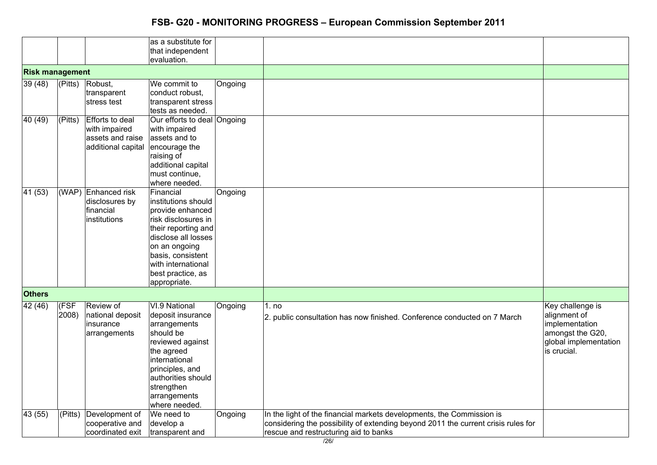|                        |               |                                                                                   | as a substitute for<br>that independent<br>evaluation.                                                                                                                                                                     |         |                                                                                                                                                                                                     |                                                                                                                |
|------------------------|---------------|-----------------------------------------------------------------------------------|----------------------------------------------------------------------------------------------------------------------------------------------------------------------------------------------------------------------------|---------|-----------------------------------------------------------------------------------------------------------------------------------------------------------------------------------------------------|----------------------------------------------------------------------------------------------------------------|
| <b>Risk management</b> |               |                                                                                   |                                                                                                                                                                                                                            |         |                                                                                                                                                                                                     |                                                                                                                |
| 39(48)                 | (Pitts)       | Robust,<br>transparent<br>stress test                                             | We commit to<br>conduct robust.<br>transparent stress<br>tests as needed.                                                                                                                                                  | Ongoing |                                                                                                                                                                                                     |                                                                                                                |
| 40(49)                 | (Pitts)       | <b>Efforts to deal</b><br>with impaired<br>assets and raise<br>additional capital | Our efforts to deal Ongoing<br>with impaired<br>assets and to<br>encourage the<br>raising of<br>additional capital<br>must continue,<br>where needed.                                                                      |         |                                                                                                                                                                                                     |                                                                                                                |
| 41(53)                 | (WAP)         | Enhanced risk<br>disclosures by<br>financial<br>institutions                      | Financial<br>institutions should<br>provide enhanced<br>risk disclosures in<br>their reporting and<br>disclose all losses<br>on an ongoing<br>basis, consistent<br>with international<br>best practice, as<br>appropriate. | Ongoing |                                                                                                                                                                                                     |                                                                                                                |
| <b>Others</b>          |               |                                                                                   |                                                                                                                                                                                                                            |         |                                                                                                                                                                                                     |                                                                                                                |
| 42(46)                 | (FSF<br>2008) | Review of<br>national deposit<br>insurance<br>arrangements                        | VI.9 National<br>deposit insurance<br>arrangements<br>should be<br>reviewed against<br>the agreed<br>international<br>principles, and<br>authorities should<br>strengthen<br>arrangements<br>where needed.                 | Ongoing | 1. no<br>2. public consultation has now finished. Conference conducted on 7 March                                                                                                                   | Key challenge is<br>alignment of<br>implementation<br>amongst the G20,<br>global implementation<br>is crucial. |
| 43 (55)                | ( Pits)       | Development of<br>cooperative and<br>coordinated exit                             | We need to<br>develop a<br>transparent and                                                                                                                                                                                 | Ongoing | In the light of the financial markets developments, the Commission is<br>considering the possibility of extending beyond 2011 the current crisis rules for<br>rescue and restructuring aid to banks |                                                                                                                |